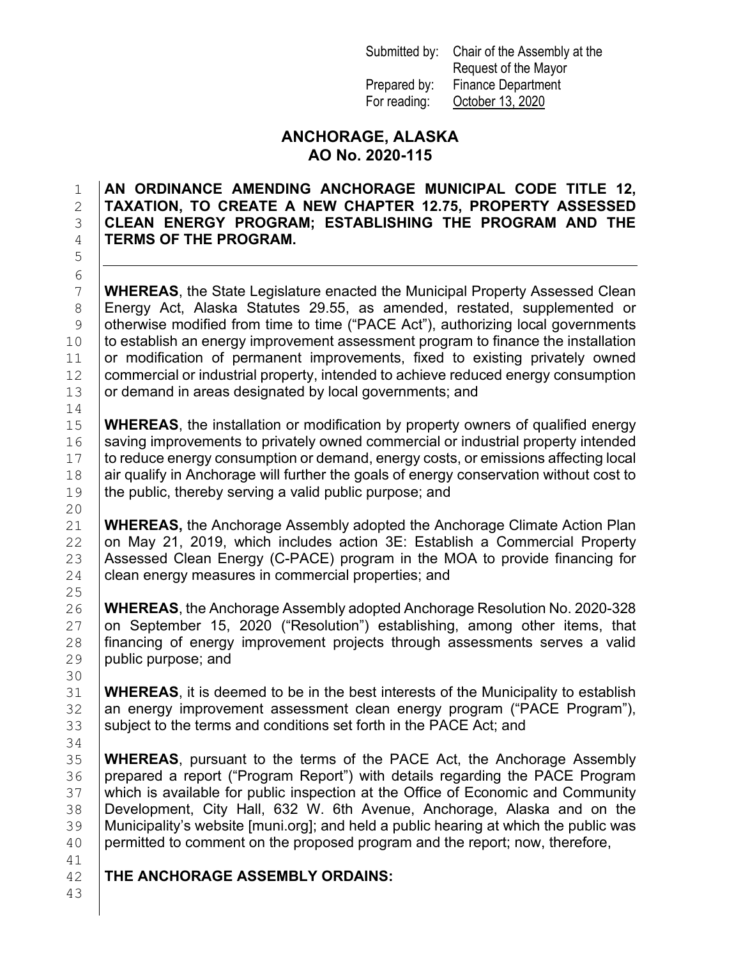Submitted by: Chair of the Assembly at the Request of the Mayor Prepared by: Finance Department For reading: October 13, 2020

## **ANCHORAGE, ALASKA AO No. 2020-115**

#### 1 **AN ORDINANCE AMENDING ANCHORAGE MUNICIPAL CODE TITLE 12,**  2 **TAXATION, TO CREATE A NEW CHAPTER 12.75, PROPERTY ASSESSED**  3 **CLEAN ENERGY PROGRAM; ESTABLISHING THE PROGRAM AND THE**<br>4 TERMS OF THE PROGRAM. **TERMS OF THE PROGRAM.**

7 **WHEREAS**, the State Legislature enacted the Municipal Property Assessed Clean<br>8 Energy Act, Alaska Statutes 29.55, as amended, restated, supplemented or 8 Energy Act, Alaska Statutes 29.55, as amended, restated, supplemented or otherwise modified from time to time ("PACE Act"), authorizing local governments 9 **otherwise modified from time to time ("PACE Act"), authorizing local governments**<br>10 **to establish an energy improvement assessment program to finance the installation** 10 to establish an energy improvement assessment program to finance the installation<br>11 or modification of permanent improvements, fixed to existing privately owned 11 or modification of permanent improvements, fixed to existing privately owned<br>12 commercial or industrial property, intended to achieve reduced energy consumption 12 commercial or industrial property, intended to achieve reduced energy consumption<br>13 or demand in areas designated by local governments; and or demand in areas designated by local governments; and

15 **WHEREAS**, the installation or modification by property owners of qualified energy<br>16 saving improvements to privately owned commercial or industrial property intended 16 saving improvements to privately owned commercial or industrial property intended<br>17 to reduce energy consumption or demand, energy costs, or emissions affecting local 17 to reduce energy consumption or demand, energy costs, or emissions affecting local<br>18 air qualify in Anchorage will further the goals of energy conservation without cost to 18 air qualify in Anchorage will further the goals of energy conservation without cost to  $19$  the public, thereby serving a valid public purpose; and the public, thereby serving a valid public purpose; and

21 **WHEREAS,** the Anchorage Assembly adopted the Anchorage Climate Action Plan 22 on May 21, 2019, which includes action 3E: Establish a Commercial Property 22 on May 21, 2019, which includes action  $3E$ : Establish a Commercial Property <br>23 Assessed Clean Energy (C-PACE) program in the MOA to provide financing for 23 Assessed Clean Energy (C-PACE) program in the MOA to provide financing for  $24$  clean energy measures in commercial properties; and clean energy measures in commercial properties; and

26 **WHEREAS**, the Anchorage Assembly adopted Anchorage Resolution No. 2020-328<br>27 on September 15, 2020 ("Resolution") establishing, among other items, that 27 on September 15, 2020 ("Resolution") establishing, among other items, that 28 financing of energy improvement projects through assessments serves a valid public purpose; and public purpose; and

30<br>31 **WHEREAS**, it is deemed to be in the best interests of the Municipality to establish  $32$  an energy improvement assessment clean energy program ("PACE Program"), 32 an energy improvement assessment clean energy program ("PACE Program"), 33 subject to the terms and conditions set forth in the PACE Act; and subject to the terms and conditions set forth in the PACE Act; and

35 **WHEREAS**, pursuant to the terms of the PACE Act, the Anchorage Assembly 36 prepared a report ("Program Report") with details regarding the PACE Program<br>37 which is available for public inspection at the Office of Economic and Community which is available for public inspection at the Office of Economic and Community 38 Development, City Hall, 632 W. 6th Avenue, Anchorage, Alaska and on the<br>39 Municipality's website [muni.org]; and held a public hearing at which the public was 39 Aunicipality's website [muni.org]; and held a public hearing at which the public was<br>40 permitted to comment on the proposed program and the report; now, therefore, permitted to comment on the proposed program and the report; now, therefore,

## **THE ANCHORAGE ASSEMBLY ORDAINS:**

41<br>42 43

34<br>35

5

6<br>7

 $\begin{array}{c} 14 \\ 15 \end{array}$ 

20<br>21

 $\frac{25}{26}$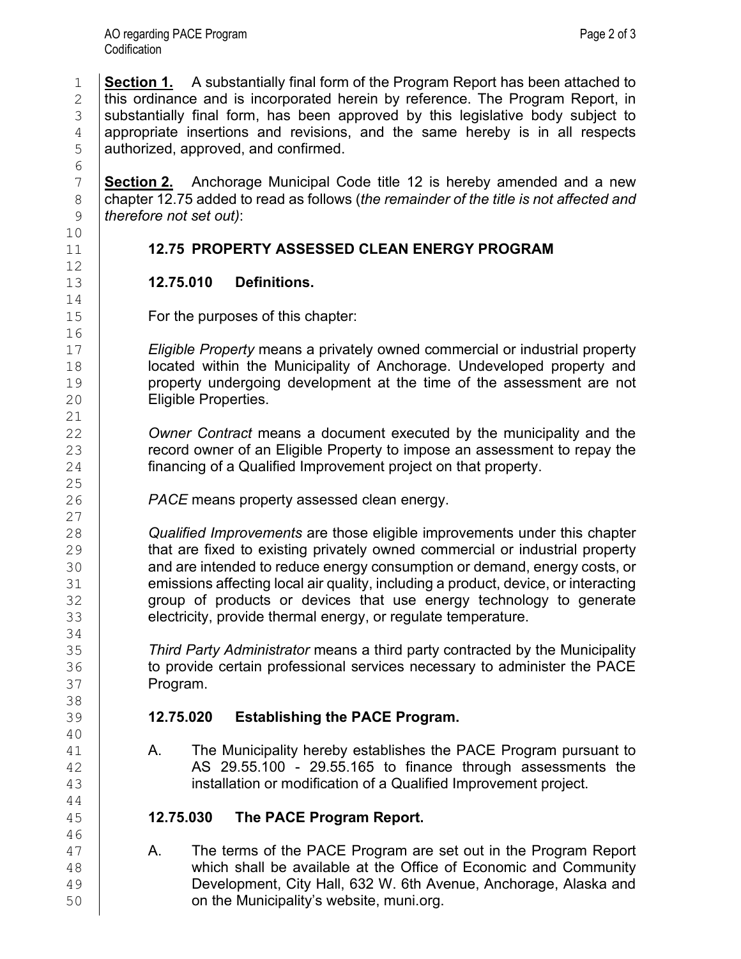1 **Section 1.** A substantially final form of the Program Report has been attached to this ordinance and is incorporated herein by reference. The Program Report, in 2 this ordinance and is incorporated herein by reference. The Program Report, in<br>3 substantially final form, has been approved by this legislative body subject to 3 substantially final form, has been approved by this legislative body subject to a appropriate insertions and revisions, and the same hereby is in all respects 4 appropriate insertions and revisions, and the same hereby is in all respects authorized approved and confirmed. authorized, approved, and confirmed.

**Section 2.** Anchorage Municipal Code title 12 is hereby amended and a new chapter 12.75 added to read as follows (the remainder of the title is not affected and 8 chapter 12.75 added to read as follows (*the remainder of the title is not affected and*  9 *therefore not set out)*:

## 11 **12.75 PROPERTY ASSESSED CLEAN ENERGY PROGRAM**

## 13 **12.75.010 Definitions.**

For the purposes of this chapter:

17 *Eligible Property* means a privately owned commercial or industrial property 18 located within the Municipality of Anchorage. Undeveloped property and<br>19 located within the Municipality of Anchorage. Undeveloped property and 19 **property undergoing development at the time of the assessment are not** 20 **Eliqible Properties**. Eligible Properties.

22 *Owner Contract* means a document executed by the municipality and the  $23$  record owner of an Eligible Property to impose an assessment to repay the  $24$  financing of a Qualified Improvement proiect on that property. financing of a Qualified Improvement project on that property.

*PACE* means property assessed clean energy.

28 *Qualified Improvements* are those eligible improvements under this chapter 29 **that are fixed to existing privately owned commercial or industrial property**<br>30 **common and are intended to reduce energy consumption or demand, energy costs, or** and are intended to reduce energy consumption or demand, energy costs, or 31 emissions affecting local air quality, including a product, device, or interacting<br>32 **converts of products** or devices that use energy technology to generate group of products or devices that use energy technology to generate 33 electricity, provide thermal energy, or regulate temperature.

35 *Third Party Administrator* means a third party contracted by the Municipality 36 to provide certain professional services necessary to administer the PACE<br>37 Program. Program.

## 39 **12.75.020 Establishing the PACE Program.**

41 A. The Municipality hereby establishes the PACE Program pursuant to<br>42 AS 29.55.100 - 29.55.165 to finance through assessments the 42 AS 29.55.100 - 29.55.165 to finance through assessments the 43 installation or modification of a Qualified Improvement project.

## 45 **12.75.030 The PACE Program Report.**

A. The terms of the PACE Program are set out in the Program Report 48 which shall be available at the Office of Economic and Community<br>49 Development, City Hall, 632 W. 6th Avenue, Anchorage, Alaska and 49 Development, City Hall, 632 W. 6th Avenue, Anchorage, Alaska and and the Municipality's website. muni.org. on the Municipality's website, muni.org.

6<br>7 10 12  $14$ <br> $15$ 16<br>17 21<br>22  $\frac{25}{26}$ 27<br>28

34<br>35

38<br>39

40

44<br>45

46<br>47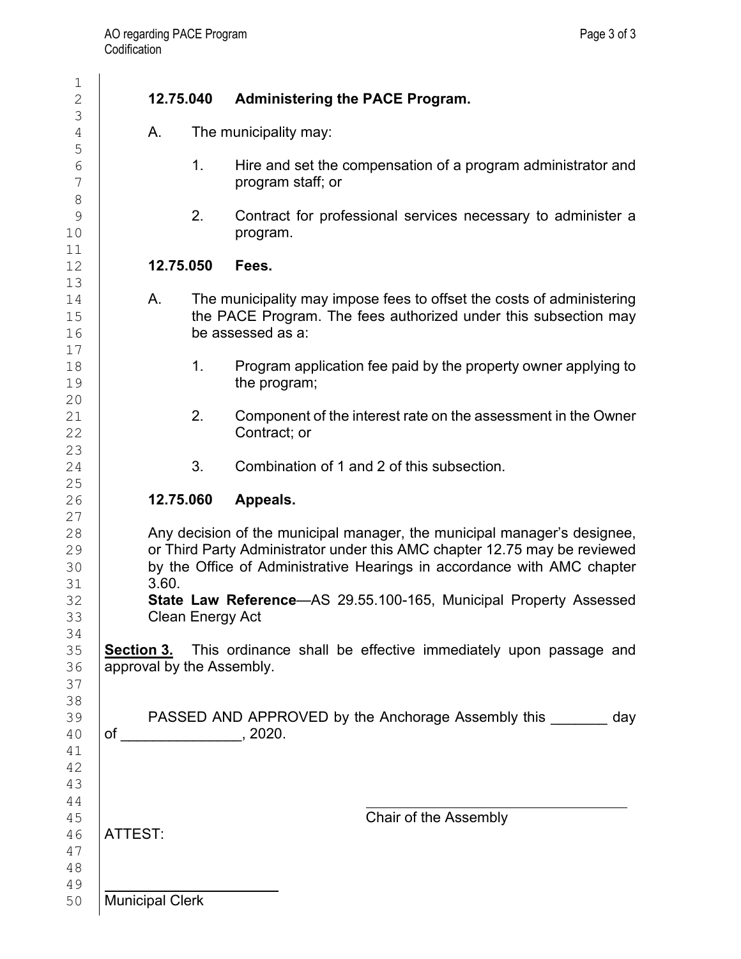# $\frac{1}{2}$ 2 **12.75.040 Administering the PACE Program.** 3 A. The municipality may:  $\begin{array}{c|c} 6 & 1. & \text{Hire and set the compensation of a program administrator and program of a program.} \end{array}$ program staff; or  $\begin{array}{c|c} 9 & 2. & \text{Contract for professional services necessary to administer a program.} \end{array}$ program. 12 **12.75.050 Fees.** 14 A. The municipality may impose fees to offset the costs of administering<br>15 **A. The PACE Program The fees authorized under this subsection may** 15 the PACE Program. The fees authorized under this subsection may<br>16 be assessed as a: be assessed as a: 18 18 1. Program application fee paid by the property owner applying to<br>19 19 the program; 21 2. Component of the interest rate on the assessment in the Owner<br>22 Contract: or Contract; or 3. Combination of 1 and 2 of this subsection. 26 **12.75.060 Appeals.** 28 Any decision of the municipal manager, the municipal manager's designee,<br>29 **Construents of Third Party Administrator** under this AMC chapter 12.75 may be reviewed 29 **or Third Party Administrator under this AMC chapter 12.75 may be reviewed**<br>30 **by the Office of Administrative Hearings in accordance with AMC chapter** by the Office of Administrative Hearings in accordance with AMC chapter  $\begin{array}{c|c} 31 & 3.60. \\ 32 & \text{State} \end{array}$ **State Law Reference-AS 29.55.100-165, Municipal Property Assessed** 33 Clean Energy Act 35 **Section 3.** This ordinance shall be effective immediately upon passage and approval by the Assembly. 39 PASSED AND APPROVED by the Anchorage Assembly this \_\_\_\_\_\_\_ day of \_\_\_\_\_\_\_\_\_\_\_\_\_\_\_\_\_\_\_\_\_\_, 2020.  $\frac{45}{46}$  ATTEST: Chair of the Assembly ATTEST: 47 48 49<br>50 Municipal Clerk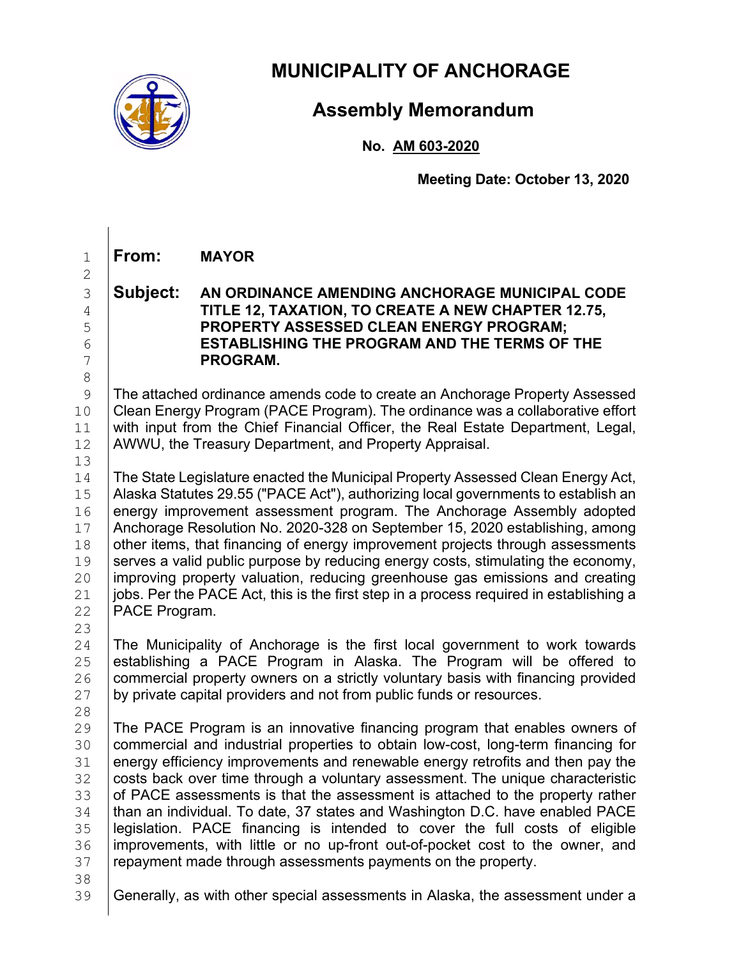

# **MUNICIPALITY OF ANCHORAGE**

# **Assembly Memorandum**

**No. AM 603-2020**

**Meeting Date: October 13, 2020**

# 1 **From: MAYOR**

## 3 **Subject: AN ORDINANCE AMENDING ANCHORAGE MUNICIPAL CODE**  4 **TITLE 12, TAXATION, TO CREATE A NEW CHAPTER 12.75,**  5 **PROPERTY ASSESSED CLEAN ENERGY PROGRAM;**  6 **ESTABLISHING THE PROGRAM AND THE TERMS OF THE**  7 **PROGRAM.**

8<br>9 9 The attached ordinance amends code to create an Anchorage Property Assessed 10 Clean Energy Program (PACE Program). The ordinance was a collaborative effort 11 Unith input from the Chief Financial Officer. the Real Estate Department. Legal. with input from the Chief Financial Officer, the Real Estate Department, Legal, 12 AWWU, the Treasury Department, and Property Appraisal.

13<br>14 14 The State Legislature enacted the Municipal Property Assessed Clean Energy Act,<br>15 Alaska Statutes 29.55 ("PACE Act"), authorizing local governments to establish an 15 Alaska Statutes 29.55 ("PACE Act"), authorizing local governments to establish an <br>16 **Peneral improvement assessment program. The Anchorage Assembly adopted** 16 Lenergy improvement assessment program. The Anchorage Assembly adopted 17 Lenchorage Resolution No. 2020-328 on September 15, 2020 establishing among Anchorage Resolution No. 2020-328 on September 15, 2020 establishing, among 18 other items, that financing of energy improvement projects through assessments<br>19 serves a valid public purpose by reducing energy costs, stimulating the economy. 19 serves a valid public purpose by reducing energy costs, stimulating the economy,<br>20 improving property valuation, reducing greenhouse gas emissions and creating 20 improving property valuation, reducing greenhouse gas emissions and creating<br>21 iobs. Per the PACE Act, this is the first step in a process required in establishing a 21 jobs. Per the PACE Act, this is the first step in a process required in establishing a  $22$  PACE Program. PACE Program.

- $\frac{23}{24}$ 24 The Municipality of Anchorage is the first local government to work towards<br>25 establishing a PACE Program in Alaska. The Program will be offered to 25 establishing a PACE Program in Alaska. The Program will be offered to 26 commercial property owners on a strictly voluntary basis with financing provided 26 commercial property owners on a strictly voluntary basis with financing provided  $27$  by private capital providers and not from public funds or resources. by private capital providers and not from public funds or resources.
- $\begin{array}{c} 28 \\ 29 \end{array}$

2

29 The PACE Program is an innovative financing program that enables owners of 30 commercial and industrial properties to obtain low-cost. long-term financing for 30 commercial and industrial properties to obtain low-cost, long-term financing for <br>31 energy efficiency improvements and renewable energy retrofits and then pay the 31 energy efficiency improvements and renewable energy retrofits and then pay the<br>32 costs back over time through a voluntary assessment. The unique characteristic 32 costs back over time through a voluntary assessment. The unique characteristic<br>33 of PACE assessments is that the assessment is attached to the property rather  $33$  of PACE assessments is that the assessment is attached to the property rather  $34$  than an individual. To date, 37 states and Washington D.C. have enabled PACE 34 than an individual. To date, 37 states and Washington D.C. have enabled PACE<br>35 legislation. PACE financing is intended to cover the full costs of eligible 35 | legislation. PACE financing is intended to cover the full costs of eligible<br>36 | improvements, with little or no up-front out-of-pocket cost to the owner, and 36 improvements, with little or no up-front out-of-pocket cost to the owner, and  $\overline{37}$  repayment made through assessments payments on the property. repayment made through assessments payments on the property.

38<br>39

Generally, as with other special assessments in Alaska, the assessment under a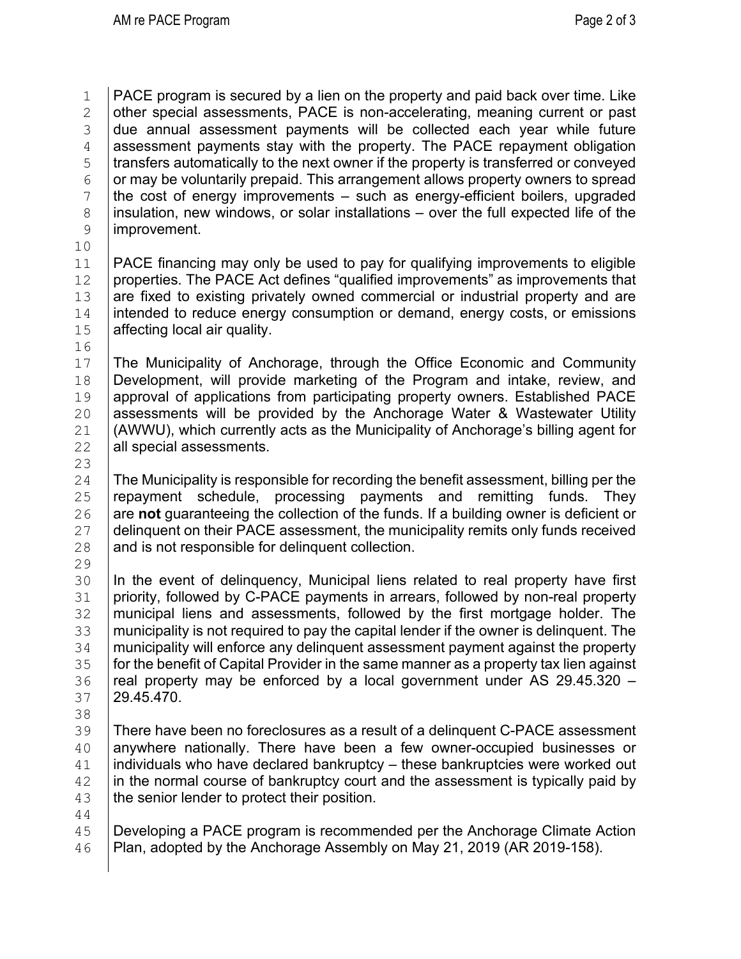1 PACE program is secured by a lien on the property and paid back over time. Like<br>2 other special assessments. PACE is non-accelerating, meaning current or past 2 other special assessments, PACE is non-accelerating, meaning current or past 3 due annual assessment payments will be collected each year while future<br>4 assessment payments stay with the property. The PACE repayment obligation 4 assessment payments stay with the property. The PACE repayment obligation<br>5 transfers automatically to the next owner if the property is transferred or conveved  $5$   $\,$  transfers automatically to the next owner if the property is transferred or conveyed<br> $6$   $\,$  or mav be voluntarily prepaid. This arrangement allows property owners to spread  $6$  or may be voluntarily prepaid. This arrangement allows property owners to spread<br>diffusion of energy improvements – such as energy-efficient boilers, upgraded  $7$  the cost of energy improvements – such as energy-efficient boilers, upgraded insulation, new windows, or solar installations – over the full expected life of the  $\begin{array}{c|c} 8 & \text{insulation, new windows, or solar installations} - \text{over the full expected life of the importance of the information.} \end{array}$ improvement.

10<br>11

11 PACE financing may only be used to pay for qualifying improvements to eligible 12 properties. The PACE Act defines "qualified improvements" as improvements that 12 properties. The PACE Act defines "qualified improvements" as improvements that 13 are fixed to existing privately owned commercial or industrial property and are  $\begin{array}{c|c|c|c|c} 13 & \text{are fixed to existing privately owned commercial or industrial property and are} \end{array}$  intended to reduce energy consumption or demand, energy costs, or emissions 14 intended to reduce energy consumption or demand, energy costs, or emissions at affecting local air quality. affecting local air quality.

 $\begin{array}{c} 16 \\ 17 \end{array}$ 17 The Municipality of Anchorage, through the Office Economic and Community<br>18 Development, will provide marketing of the Program and intake, review, and 18 Development, will provide marketing of the Program and intake, review, and 19 approval of applications from participating property owners. Established PACE 19 | approval of applications from participating property owners. Established PACE<br>20 | assessments will be provided by the Anchorage Water & Wastewater Utility 20 assessments will be provided by the Anchorage Water & Wastewater Utility<br>21 (AWWU) which currently acts as the Municipality of Anchorage's billing agent for 21  $(AWWU)$ , which currently acts as the Municipality of Anchorage's billing agent for <br>22 all special assessments. all special assessments.

23

24  $\mid$  The Municipality is responsible for recording the benefit assessment, billing per the <br>25  $\mid$  repayment schedule, processing payments and remitting funds. They 25 **repayment schedule, processing payments and remitting funds. They**<br>26 **are not** quaranteeing the collection of the funds. If a building owner is deficient or 26 are **not** guaranteeing the collection of the funds. If a building owner is deficient or <br>27 delinguent on their PACE assessment, the municipality remits only funds received 27 delinquent on their PACE assessment, the municipality remits only funds received  $28$  and is not responsible for delinquent collection. and is not responsible for delinquent collection.

29<br>30

30 In the event of delinquency, Municipal liens related to real property have first<br>31 priority, followed by C-PACE payments in arrears, followed by non-real property 31 priority, followed by C-PACE payments in arrears, followed by non-real property<br>32 municipal liens and assessments, followed by the first mortgage holder. The 32 | municipal liens and assessments, followed by the first mortgage holder. The 33 | municipality is not required to pay the capital lender if the owner is delinguent. The 33 municipality is not required to pay the capital lender if the owner is delinquent. The <br>34 municipality will enforce any delinguent assessment payment against the property 34 municipality will enforce any delinquent assessment payment against the property<br>35 for the benefit of Capital Provider in the same manner as a property tax lien against 35 for the benefit of Capital Provider in the same manner as a property tax lien against<br>36 freal property may be enforced by a local government under AS 29.45.320 -36  $\vert$  real property may be enforced by a local government under AS 29.45.320 – 37 29.45.470. 37 29.45.470.

38<br>39

39 There have been no foreclosures as a result of a delinquent C-PACE assessment<br>40 anywhere nationally. There have been a few owner-occupied businesses or 40 anywhere nationally. There have been a few owner-occupied businesses or all individuals who have declared bankruptcy – these bankruptcies were worked out 41 individuals who have declared bankruptcy – these bankruptcies were worked out  $\frac{42}{10}$  in the normal course of bankruptcy court and the assessment is typically paid by 42 in the normal course of bankruptcy court and the assessment is typically paid by  $\frac{43}{100}$  the senior lender to protect their position. the senior lender to protect their position.

 $44$ <br> $45$ 45 Developing a PACE program is recommended per the Anchorage Climate Action<br>46 Plan. adopted by the Anchorage Assembly on May 21, 2019 (AR 2019-158). Plan, adopted by the Anchorage Assembly on May 21, 2019 (AR 2019-158).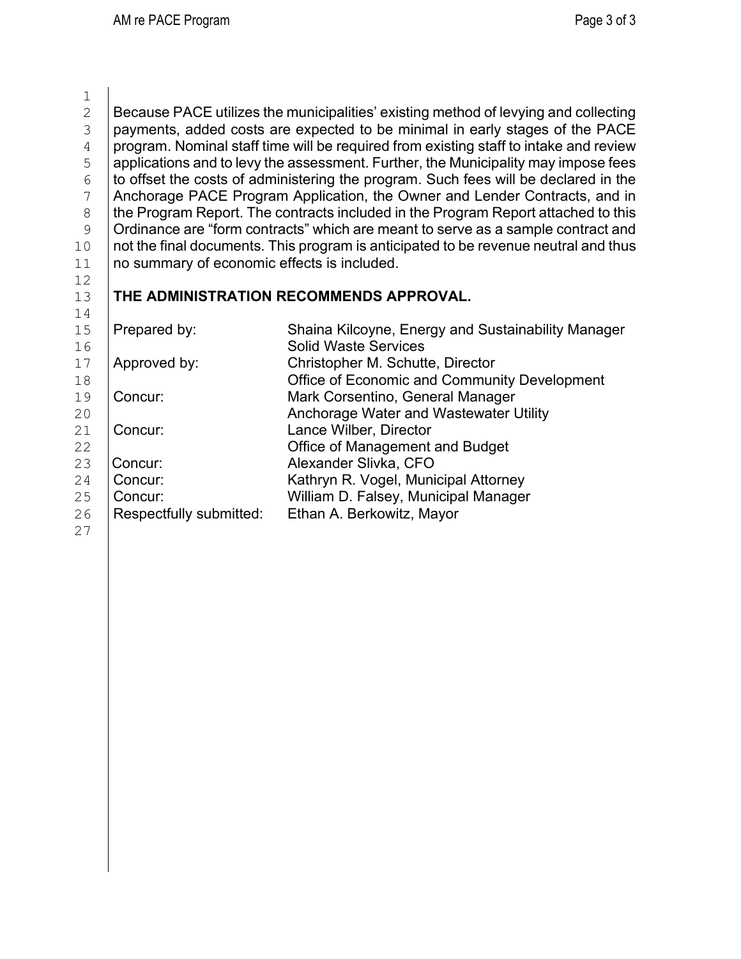$\frac{1}{2}$ 2 Because PACE utilizes the municipalities' existing method of levying and collecting<br>3 Dayments, added costs are expected to be minimal in early stages of the PACE  $\frac{3}{4}$  payments, added costs are expected to be minimal in early stages of the PACE<br>4 program. Nominal staff time will be reguired from existing staff to intake and review  $\frac{4}{5}$  program. Nominal staff time will be required from existing staff to intake and review<br> $\frac{5}{5}$  applications and to levy the assessment. Further, the Municipality may impose fees  $5$   $\mid$  applications and to levy the assessment. Further, the Municipality may impose fees<br>6  $\mid$  to offset the costs of administering the program. Such fees will be declared in the  $6$  to offset the costs of administering the program. Such fees will be declared in the  $7$  Anchorage PACF Program Application, the Owner and I ender Contracts, and in 7 Anchorage PACE Program Application, the Owner and Lender Contracts, and in<br>8 the Program Report. The contracts included in the Program Report attached to this  $8 \mid$  the Program Report. The contracts included in the Program Report attached to this<br>9  $\mid$  Ordinance are "form contracts" which are meant to serve as a sample contract and 9 | Ordinance are "form contracts" which are meant to serve as a sample contract and<br>not the final documents. This program is anticipated to be revenue neutral and thus 10 | not the final documents. This program is anticipated to be revenue neutral and thus<br>11 | no summary of economic effects is included. no summary of economic effects is included.

 $\begin{array}{c} 12 \\ 13 \end{array}$ 

# **THE ADMINISTRATION RECOMMENDS APPROVAL.**

 $14$ <br> $15$ 15 Prepared by: Shaina Kilcoyne, Energy and Sustainability Manager<br>16 **Prepared by:** Solid Waste Services 16 Solid Waste Services 17 Approved by: Christopher M. Schutte, Director<br>18 **Christopher M. Schutte, Director** 18 Concur: Community Development<br>
19 Concur: Mark Corsentino. General Manager 19 Concur: Mark Corsentino, General Manager<br>20 **Concur:** Anchorage Water and Wastewater I 20 <br>
21 Concur: 
21 Concur: 
21 Concuri 
21 Concuri Lance Wilber, Director 21 Concur: Lance Wilber, Director<br>22 Concur: Concured Concident Conce<br>Office of Management 22 Office of Management and Budget<br>22 Opera Buka, CFO 23 Concur: Alexander Slivka, CFO<br>24 Concur: Kathrvn R. Vogel. Muni 24 Concur: Kathryn R. Vogel, Municipal Attorney<br>25 Concur: William D. Falsey, Municipal Manager 25 Concur: William D. Falsey, Municipal Manager<br>26 Respectfully submitted: Ethan A. Berkowitz, Mayor Ethan A. Berkowitz, Mayor

- 
- 27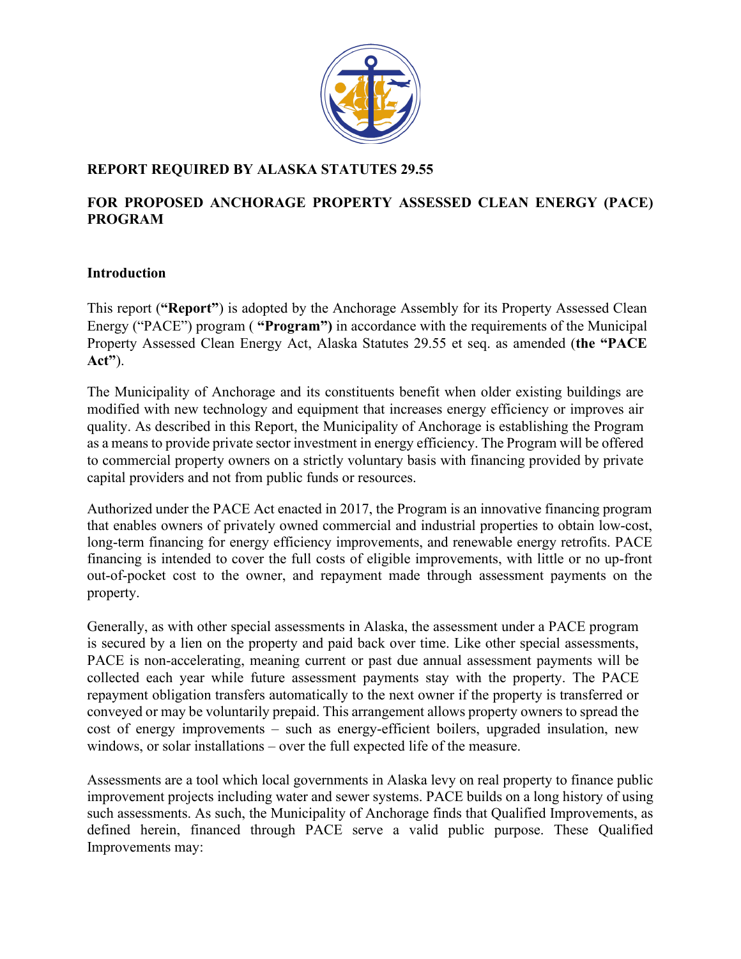

### **REPORT REQUIRED BY ALASKA STATUTES 29.55**

#### **FOR PROPOSED ANCHORAGE PROPERTY ASSESSED CLEAN ENERGY (PACE) PROGRAM**

#### **Introduction**

This report (**"Report"**) is adopted by the Anchorage Assembly for its Property Assessed Clean Energy ("PACE") program ( **"Program")** in accordance with the requirements of the Municipal Property Assessed Clean Energy Act, Alaska Statutes 29.55 et seq. as amended (**the "PACE Act"**).

The Municipality of Anchorage and its constituents benefit when older existing buildings are modified with new technology and equipment that increases energy efficiency or improves air quality. As described in this Report, the Municipality of Anchorage is establishing the Program as a means to provide private sector investment in energy efficiency. The Program will be offered to commercial property owners on a strictly voluntary basis with financing provided by private capital providers and not from public funds or resources.

Authorized under the PACE Act enacted in 2017, the Program is an innovative financing program that enables owners of privately owned commercial and industrial properties to obtain low-cost, long-term financing for energy efficiency improvements, and renewable energy retrofits. PACE financing is intended to cover the full costs of eligible improvements, with little or no up-front out-of-pocket cost to the owner, and repayment made through assessment payments on the property.

Generally, as with other special assessments in Alaska, the assessment under a PACE program is secured by a lien on the property and paid back over time. Like other special assessments, PACE is non-accelerating, meaning current or past due annual assessment payments will be collected each year while future assessment payments stay with the property. The PACE repayment obligation transfers automatically to the next owner if the property is transferred or conveyed or may be voluntarily prepaid. This arrangement allows property owners to spread the cost of energy improvements – such as energy-efficient boilers, upgraded insulation, new windows, or solar installations – over the full expected life of the measure.

Assessments are a tool which local governments in Alaska levy on real property to finance public improvement projects including water and sewer systems. PACE builds on a long history of using such assessments. As such, the Municipality of Anchorage finds that Qualified Improvements, as defined herein, financed through PACE serve a valid public purpose. These Qualified Improvements may: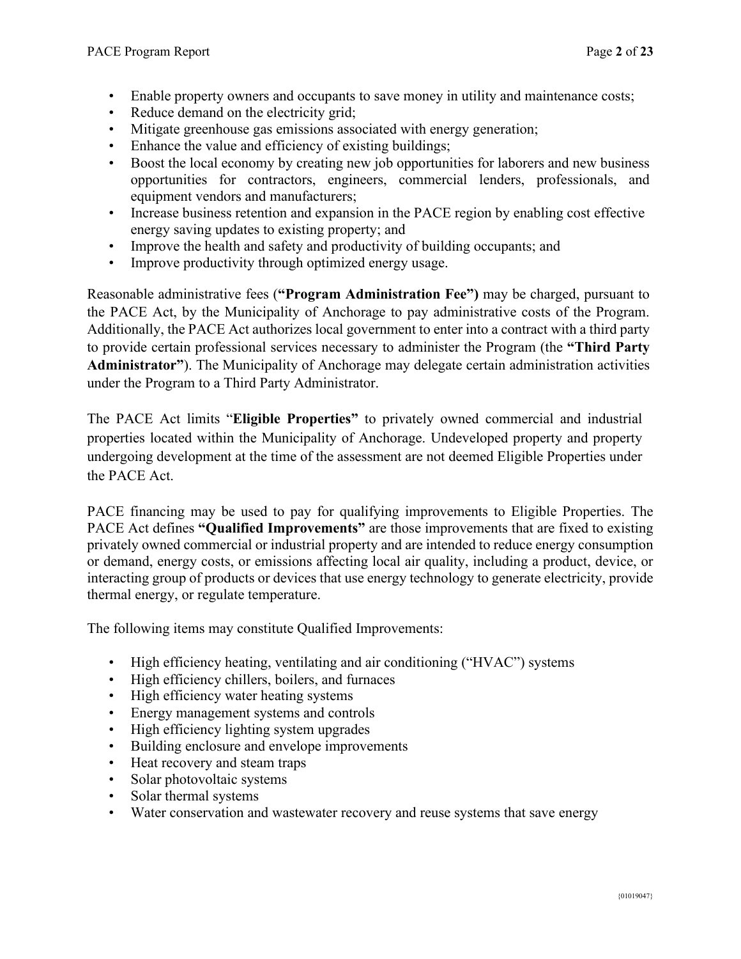- Enable property owners and occupants to save money in utility and maintenance costs;
- Reduce demand on the electricity grid;
- Mitigate greenhouse gas emissions associated with energy generation;
- Enhance the value and efficiency of existing buildings;
- Boost the local economy by creating new job opportunities for laborers and new business opportunities for contractors, engineers, commercial lenders, professionals, and equipment vendors and manufacturers;
- Increase business retention and expansion in the PACE region by enabling cost effective energy saving updates to existing property; and
- Improve the health and safety and productivity of building occupants; and
- Improve productivity through optimized energy usage.

Reasonable administrative fees (**"Program Administration Fee")** may be charged, pursuant to the PACE Act, by the Municipality of Anchorage to pay administrative costs of the Program. Additionally, the PACE Act authorizes local government to enter into a contract with a third party to provide certain professional services necessary to administer the Program (the **"Third Party Administrator"**). The Municipality of Anchorage may delegate certain administration activities under the Program to a Third Party Administrator.

The PACE Act limits "**Eligible Properties"** to privately owned commercial and industrial properties located within the Municipality of Anchorage. Undeveloped property and property undergoing development at the time of the assessment are not deemed Eligible Properties under the PACE Act.

PACE financing may be used to pay for qualifying improvements to Eligible Properties. The PACE Act defines **"Qualified Improvements"** are those improvements that are fixed to existing privately owned commercial or industrial property and are intended to reduce energy consumption or demand, energy costs, or emissions affecting local air quality, including a product, device, or interacting group of products or devices that use energy technology to generate electricity, provide thermal energy, or regulate temperature.

The following items may constitute Qualified Improvements:

- High efficiency heating, ventilating and air conditioning ("HVAC") systems
- High efficiency chillers, boilers, and furnaces
- High efficiency water heating systems
- Energy management systems and controls
- High efficiency lighting system upgrades
- Building enclosure and envelope improvements
- Heat recovery and steam traps
- Solar photovoltaic systems
- Solar thermal systems
- Water conservation and wastewater recovery and reuse systems that save energy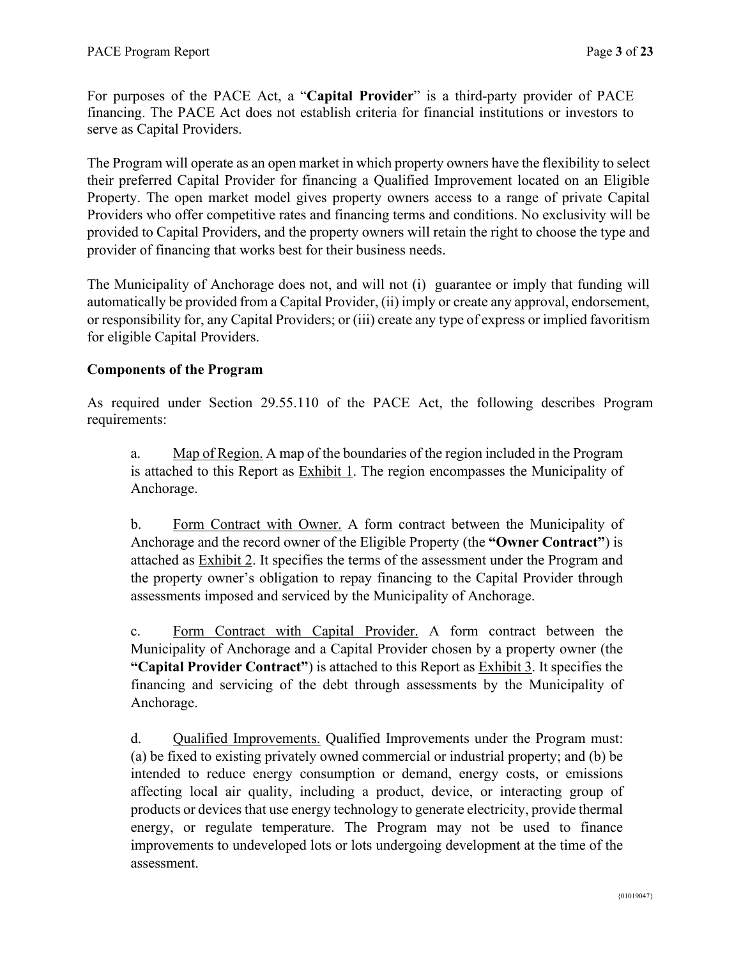For purposes of the PACE Act, a "**Capital Provider**" is a third-party provider of PACE financing. The PACE Act does not establish criteria for financial institutions or investors to serve as Capital Providers.

The Program will operate as an open market in which property owners have the flexibility to select their preferred Capital Provider for financing a Qualified Improvement located on an Eligible Property. The open market model gives property owners access to a range of private Capital Providers who offer competitive rates and financing terms and conditions. No exclusivity will be provided to Capital Providers, and the property owners will retain the right to choose the type and provider of financing that works best for their business needs.

The Municipality of Anchorage does not, and will not (i) guarantee or imply that funding will automatically be provided from a Capital Provider, (ii) imply or create any approval, endorsement, or responsibility for, any Capital Providers; or (iii) create any type of express or implied favoritism for eligible Capital Providers.

#### **Components of the Program**

As required under Section 29.55.110 of the PACE Act, the following describes Program requirements:

a. Map of Region. A map of the boundaries of the region included in the Program is attached to this Report as  $Exhibit 1$ . The region encompasses the Municipality of Anchorage.

b. Form Contract with Owner. A form contract between the Municipality of Anchorage and the record owner of the Eligible Property (the **"Owner Contract"**) is attached as Exhibit 2. It specifies the terms of the assessment under the Program and the property owner's obligation to repay financing to the Capital Provider through assessments imposed and serviced by the Municipality of Anchorage.

c. Form Contract with Capital Provider. A form contract between the Municipality of Anchorage and a Capital Provider chosen by a property owner (the **"Capital Provider Contract"**) is attached to this Report as Exhibit 3. It specifies the financing and servicing of the debt through assessments by the Municipality of Anchorage.

d. Qualified Improvements. Qualified Improvements under the Program must: (a) be fixed to existing privately owned commercial or industrial property; and (b) be intended to reduce energy consumption or demand, energy costs, or emissions affecting local air quality, including a product, device, or interacting group of products or devices that use energy technology to generate electricity, provide thermal energy, or regulate temperature. The Program may not be used to finance improvements to undeveloped lots or lots undergoing development at the time of the assessment.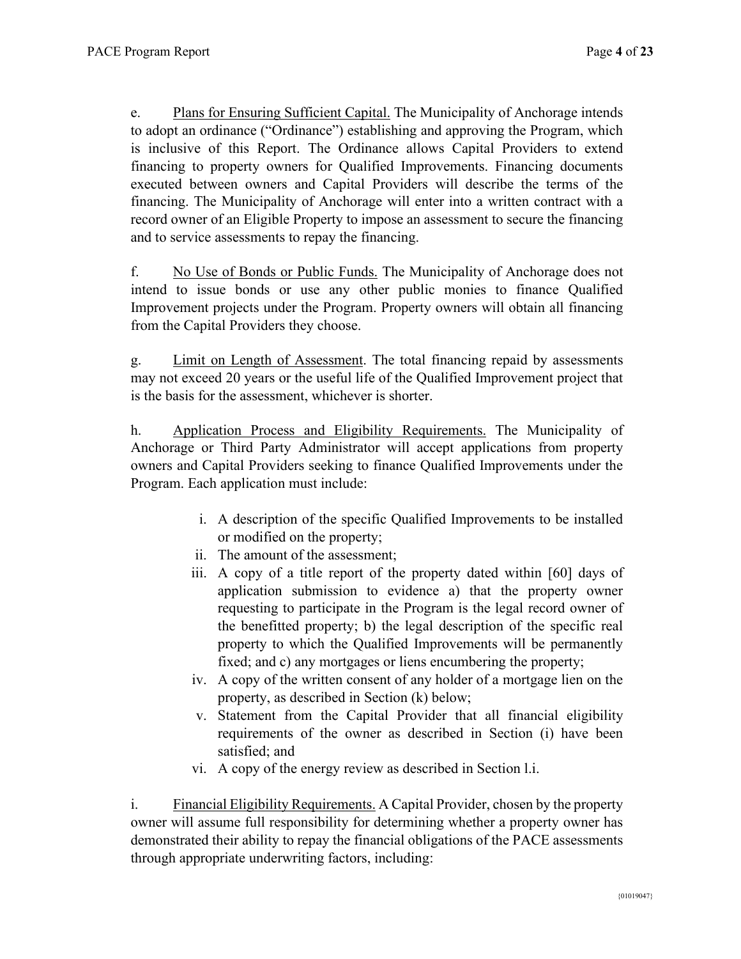e. Plans for Ensuring Sufficient Capital. The Municipality of Anchorage intends to adopt an ordinance ("Ordinance") establishing and approving the Program, which is inclusive of this Report. The Ordinance allows Capital Providers to extend financing to property owners for Qualified Improvements. Financing documents executed between owners and Capital Providers will describe the terms of the financing. The Municipality of Anchorage will enter into a written contract with a record owner of an Eligible Property to impose an assessment to secure the financing and to service assessments to repay the financing.

f. No Use of Bonds or Public Funds. The Municipality of Anchorage does not intend to issue bonds or use any other public monies to finance Qualified Improvement projects under the Program. Property owners will obtain all financing from the Capital Providers they choose.

g. Limit on Length of Assessment. The total financing repaid by assessments may not exceed 20 years or the useful life of the Qualified Improvement project that is the basis for the assessment, whichever is shorter.

h. Application Process and Eligibility Requirements. The Municipality of Anchorage or Third Party Administrator will accept applications from property owners and Capital Providers seeking to finance Qualified Improvements under the Program. Each application must include:

- i. A description of the specific Qualified Improvements to be installed or modified on the property;
- ii. The amount of the assessment;
- iii. A copy of a title report of the property dated within [60] days of application submission to evidence a) that the property owner requesting to participate in the Program is the legal record owner of the benefitted property; b) the legal description of the specific real property to which the Qualified Improvements will be permanently fixed; and c) any mortgages or liens encumbering the property;
- iv. A copy of the written consent of any holder of a mortgage lien on the property, as described in Section (k) below;
- v. Statement from the Capital Provider that all financial eligibility requirements of the owner as described in Section (i) have been satisfied; and
- vi. A copy of the energy review as described in Section l.i.

i. Financial Eligibility Requirements. A Capital Provider, chosen by the property owner will assume full responsibility for determining whether a property owner has demonstrated their ability to repay the financial obligations of the PACE assessments through appropriate underwriting factors, including: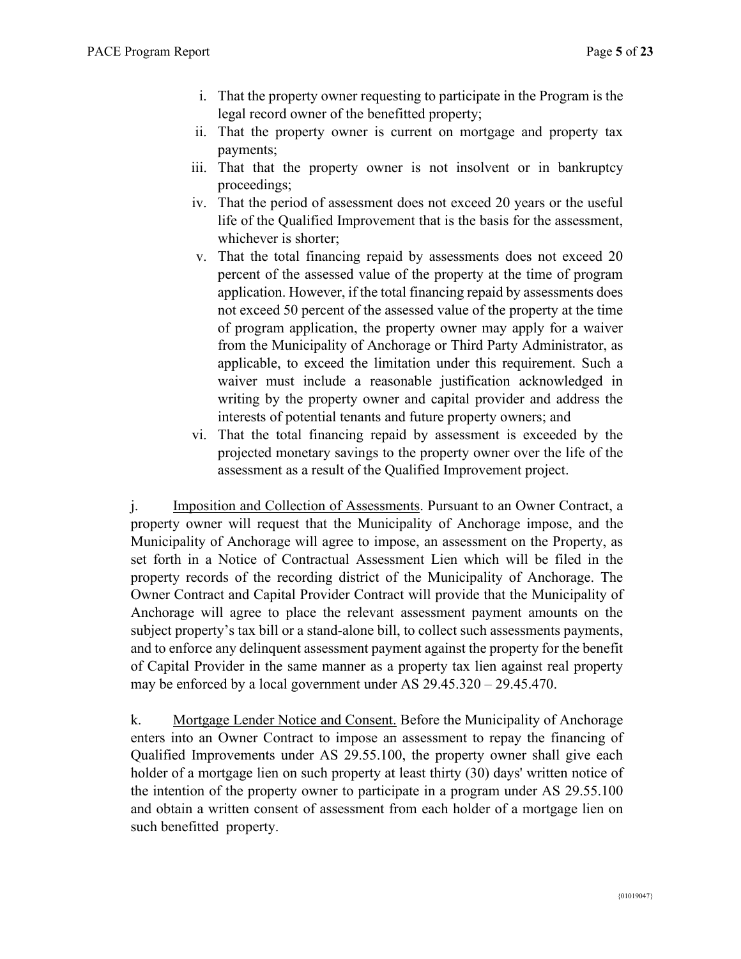- i. That the property owner requesting to participate in the Program is the legal record owner of the benefitted property;
- ii. That the property owner is current on mortgage and property tax payments;
- iii. That that the property owner is not insolvent or in bankruptcy proceedings;
- iv. That the period of assessment does not exceed 20 years or the useful life of the Qualified Improvement that is the basis for the assessment, whichever is shorter;
- v. That the total financing repaid by assessments does not exceed 20 percent of the assessed value of the property at the time of program application. However, if the total financing repaid by assessments does not exceed 50 percent of the assessed value of the property at the time of program application, the property owner may apply for a waiver from the Municipality of Anchorage or Third Party Administrator, as applicable, to exceed the limitation under this requirement. Such a waiver must include a reasonable justification acknowledged in writing by the property owner and capital provider and address the interests of potential tenants and future property owners; and
- vi. That the total financing repaid by assessment is exceeded by the projected monetary savings to the property owner over the life of the assessment as a result of the Qualified Improvement project.

j. Imposition and Collection of Assessments. Pursuant to an Owner Contract, a property owner will request that the Municipality of Anchorage impose, and the Municipality of Anchorage will agree to impose, an assessment on the Property, as set forth in a Notice of Contractual Assessment Lien which will be filed in the property records of the recording district of the Municipality of Anchorage. The Owner Contract and Capital Provider Contract will provide that the Municipality of Anchorage will agree to place the relevant assessment payment amounts on the subject property's tax bill or a stand-alone bill, to collect such assessments payments, and to enforce any delinquent assessment payment against the property for the benefit of Capital Provider in the same manner as a property tax lien against real property may be enforced by a local government under AS 29.45.320 – 29.45.470.

k. Mortgage Lender Notice and Consent. Before the Municipality of Anchorage enters into an Owner Contract to impose an assessment to repay the financing of Qualified Improvements under AS 29.55.100, the property owner shall give each holder of a mortgage lien on such property at least thirty (30) days' written notice of the intention of the property owner to participate in a program under AS 29.55.100 and obtain a written consent of assessment from each holder of a mortgage lien on such benefitted property.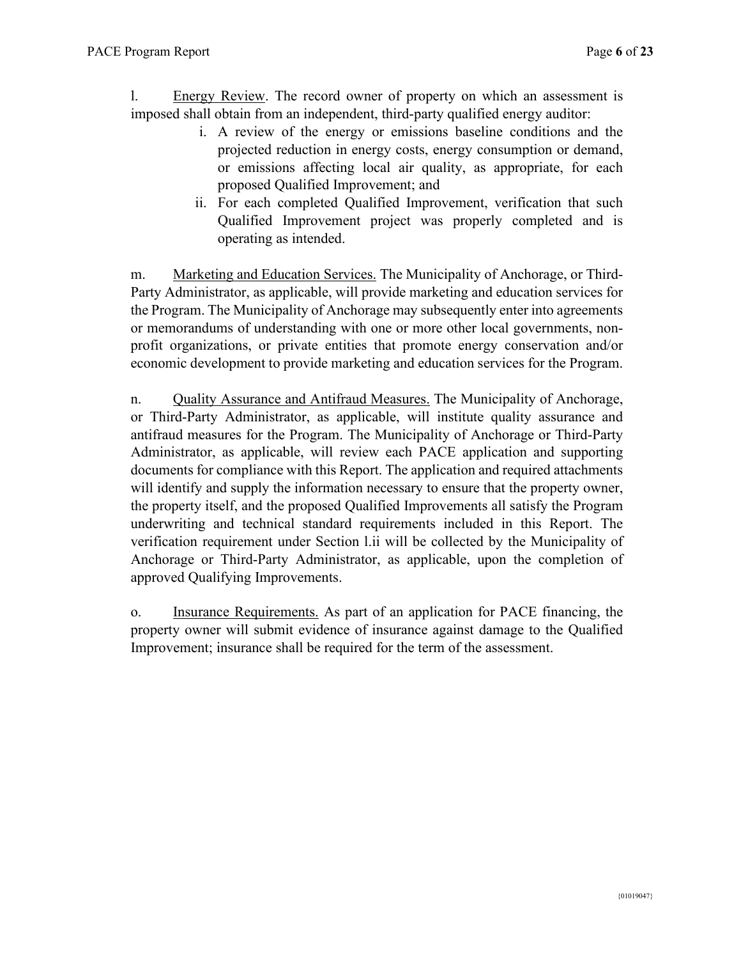l. Energy Review. The record owner of property on which an assessment is imposed shall obtain from an independent, third-party qualified energy auditor:

- i. A review of the energy or emissions baseline conditions and the projected reduction in energy costs, energy consumption or demand, or emissions affecting local air quality, as appropriate, for each proposed Qualified Improvement; and
- ii. For each completed Qualified Improvement, verification that such Qualified Improvement project was properly completed and is operating as intended.

m. Marketing and Education Services. The Municipality of Anchorage, or Third-Party Administrator, as applicable, will provide marketing and education services for the Program. The Municipality of Anchorage may subsequently enter into agreements or memorandums of understanding with one or more other local governments, nonprofit organizations, or private entities that promote energy conservation and/or economic development to provide marketing and education services for the Program.

n. Quality Assurance and Antifraud Measures. The Municipality of Anchorage, or Third-Party Administrator, as applicable, will institute quality assurance and antifraud measures for the Program. The Municipality of Anchorage or Third-Party Administrator, as applicable, will review each PACE application and supporting documents for compliance with this Report. The application and required attachments will identify and supply the information necessary to ensure that the property owner, the property itself, and the proposed Qualified Improvements all satisfy the Program underwriting and technical standard requirements included in this Report. The verification requirement under Section l.ii will be collected by the Municipality of Anchorage or Third-Party Administrator, as applicable, upon the completion of approved Qualifying Improvements.

o. Insurance Requirements. As part of an application for PACE financing, the property owner will submit evidence of insurance against damage to the Qualified Improvement; insurance shall be required for the term of the assessment.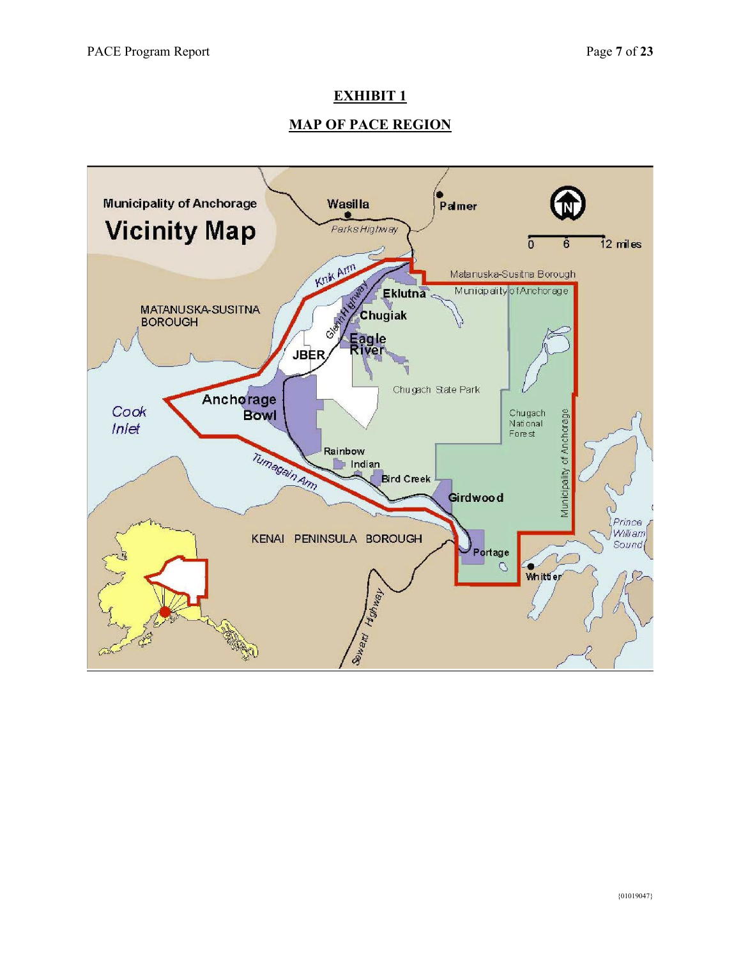#### **EXHIBIT 1**

## **MAP OF PACE REGION**

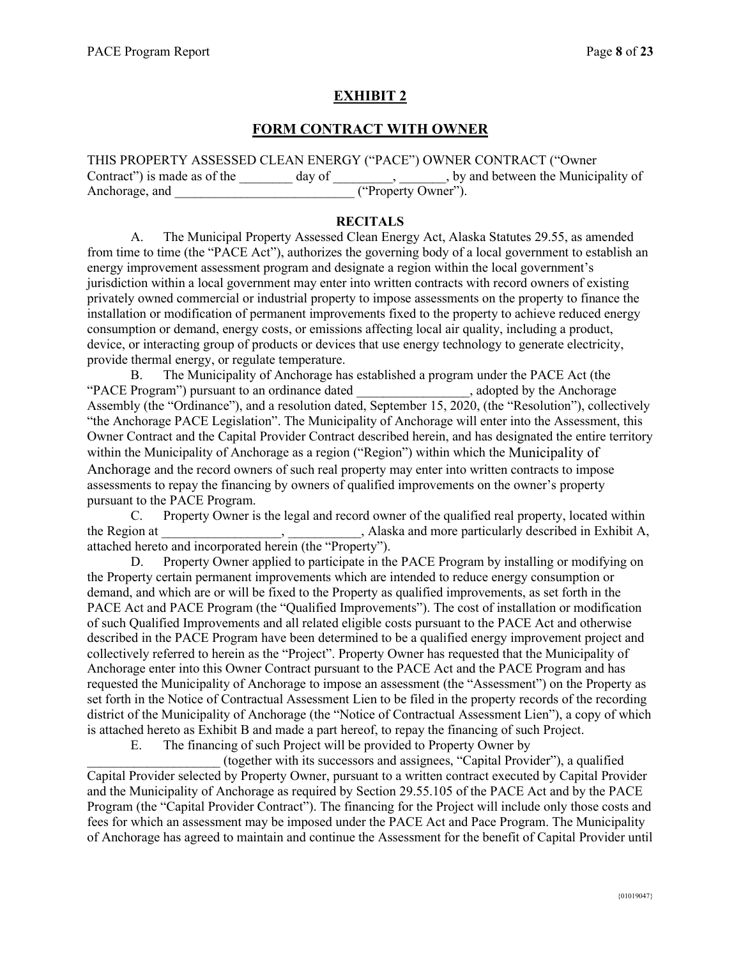#### **EXHIBIT 2**

#### **FORM CONTRACT WITH OWNER**

THIS PROPERTY ASSESSED CLEAN ENERGY ("PACE") OWNER CONTRACT ("Owner Contract") is made as of the \_\_\_\_\_\_\_ day of \_\_\_\_\_\_\_\_, \_\_\_\_\_\_, by and between the Municipality of Anchorage, and  $($ "Property Owner").

#### **RECITALS**

A. The Municipal Property Assessed Clean Energy Act, Alaska Statutes 29.55, as amended from time to time (the "PACE Act"), authorizes the governing body of a local government to establish an energy improvement assessment program and designate a region within the local government's jurisdiction within a local government may enter into written contracts with record owners of existing privately owned commercial or industrial property to impose assessments on the property to finance the installation or modification of permanent improvements fixed to the property to achieve reduced energy consumption or demand, energy costs, or emissions affecting local air quality, including a product, device, or interacting group of products or devices that use energy technology to generate electricity, provide thermal energy, or regulate temperature.

B. The Municipality of Anchorage has established a program under the PACE Act (the Program") pursuant to an ordinance dated and calculated a adopted by the Anchorage "PACE Program") pursuant to an ordinance dated Assembly (the "Ordinance"), and a resolution dated, September 15, 2020, (the "Resolution"), collectively "the Anchorage PACE Legislation". The Municipality of Anchorage will enter into the Assessment, this Owner Contract and the Capital Provider Contract described herein, and has designated the entire territory within the Municipality of Anchorage as a region ("Region") within which the Municipality of Anchorage and the record owners of such real property may enter into written contracts to impose assessments to repay the financing by owners of qualified improvements on the owner's property pursuant to the PACE Program.

C. Property Owner is the legal and record owner of the qualified real property, located within the Region at \_\_\_\_\_\_\_\_\_\_\_\_\_\_\_\_\_\_\_\_, Alaska and more particularly described in Exhibit A. attached hereto and incorporated herein (the "Property").

D. Property Owner applied to participate in the PACE Program by installing or modifying on the Property certain permanent improvements which are intended to reduce energy consumption or demand, and which are or will be fixed to the Property as qualified improvements, as set forth in the PACE Act and PACE Program (the "Qualified Improvements"). The cost of installation or modification of such Qualified Improvements and all related eligible costs pursuant to the PACE Act and otherwise described in the PACE Program have been determined to be a qualified energy improvement project and collectively referred to herein as the "Project". Property Owner has requested that the Municipality of Anchorage enter into this Owner Contract pursuant to the PACE Act and the PACE Program and has requested the Municipality of Anchorage to impose an assessment (the "Assessment") on the Property as set forth in the Notice of Contractual Assessment Lien to be filed in the property records of the recording district of the Municipality of Anchorage (the "Notice of Contractual Assessment Lien"), a copy of which is attached hereto as Exhibit B and made a part hereof, to repay the financing of such Project.

E. The financing of such Project will be provided to Property Owner by

\_\_\_\_\_\_\_\_\_\_\_\_\_\_\_\_\_\_\_\_ (together with its successors and assignees, "Capital Provider"), a qualified Capital Provider selected by Property Owner, pursuant to a written contract executed by Capital Provider and the Municipality of Anchorage as required by Section 29.55.105 of the PACE Act and by the PACE Program (the "Capital Provider Contract"). The financing for the Project will include only those costs and fees for which an assessment may be imposed under the PACE Act and Pace Program. The Municipality of Anchorage has agreed to maintain and continue the Assessment for the benefit of Capital Provider until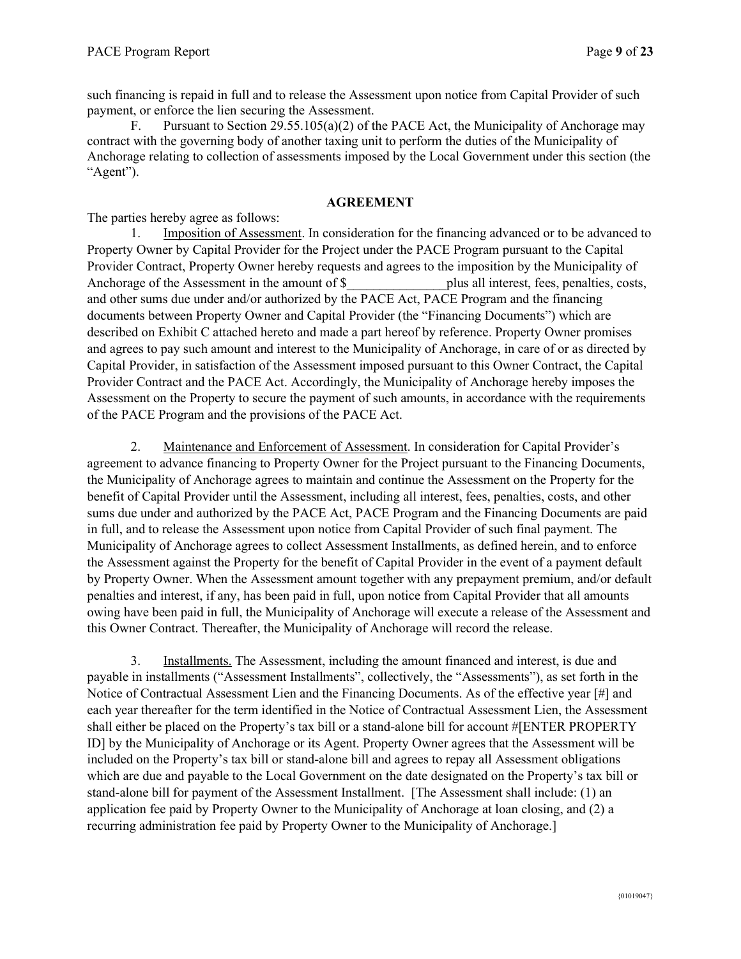such financing is repaid in full and to release the Assessment upon notice from Capital Provider of such payment, or enforce the lien securing the Assessment.

F. Pursuant to Section 29.55.105(a)(2) of the PACE Act, the Municipality of Anchorage may contract with the governing body of another taxing unit to perform the duties of the Municipality of Anchorage relating to collection of assessments imposed by the Local Government under this section (the "Agent").

#### **AGREEMENT**

The parties hereby agree as follows:

1. Imposition of Assessment. In consideration for the financing advanced or to be advanced to Property Owner by Capital Provider for the Project under the PACE Program pursuant to the Capital Provider Contract, Property Owner hereby requests and agrees to the imposition by the Municipality of Anchorage of the Assessment in the amount of \$ plus all interest, fees, penalties, costs, and other sums due under and/or authorized by the PACE Act, PACE Program and the financing documents between Property Owner and Capital Provider (the "Financing Documents") which are described on Exhibit C attached hereto and made a part hereof by reference. Property Owner promises and agrees to pay such amount and interest to the Municipality of Anchorage, in care of or as directed by Capital Provider, in satisfaction of the Assessment imposed pursuant to this Owner Contract, the Capital Provider Contract and the PACE Act. Accordingly, the Municipality of Anchorage hereby imposes the Assessment on the Property to secure the payment of such amounts, in accordance with the requirements of the PACE Program and the provisions of the PACE Act.

2. Maintenance and Enforcement of Assessment. In consideration for Capital Provider's agreement to advance financing to Property Owner for the Project pursuant to the Financing Documents, the Municipality of Anchorage agrees to maintain and continue the Assessment on the Property for the benefit of Capital Provider until the Assessment, including all interest, fees, penalties, costs, and other sums due under and authorized by the PACE Act, PACE Program and the Financing Documents are paid in full, and to release the Assessment upon notice from Capital Provider of such final payment. The Municipality of Anchorage agrees to collect Assessment Installments, as defined herein, and to enforce the Assessment against the Property for the benefit of Capital Provider in the event of a payment default by Property Owner. When the Assessment amount together with any prepayment premium, and/or default penalties and interest, if any, has been paid in full, upon notice from Capital Provider that all amounts owing have been paid in full, the Municipality of Anchorage will execute a release of the Assessment and this Owner Contract. Thereafter, the Municipality of Anchorage will record the release.

3. Installments. The Assessment, including the amount financed and interest, is due and payable in installments ("Assessment Installments", collectively, the "Assessments"), as set forth in the Notice of Contractual Assessment Lien and the Financing Documents. As of the effective year [#] and each year thereafter for the term identified in the Notice of Contractual Assessment Lien, the Assessment shall either be placed on the Property's tax bill or a stand-alone bill for account #[ENTER PROPERTY ID] by the Municipality of Anchorage or its Agent. Property Owner agrees that the Assessment will be included on the Property's tax bill or stand-alone bill and agrees to repay all Assessment obligations which are due and payable to the Local Government on the date designated on the Property's tax bill or stand-alone bill for payment of the Assessment Installment. [The Assessment shall include: (1) an application fee paid by Property Owner to the Municipality of Anchorage at loan closing, and (2) a recurring administration fee paid by Property Owner to the Municipality of Anchorage.]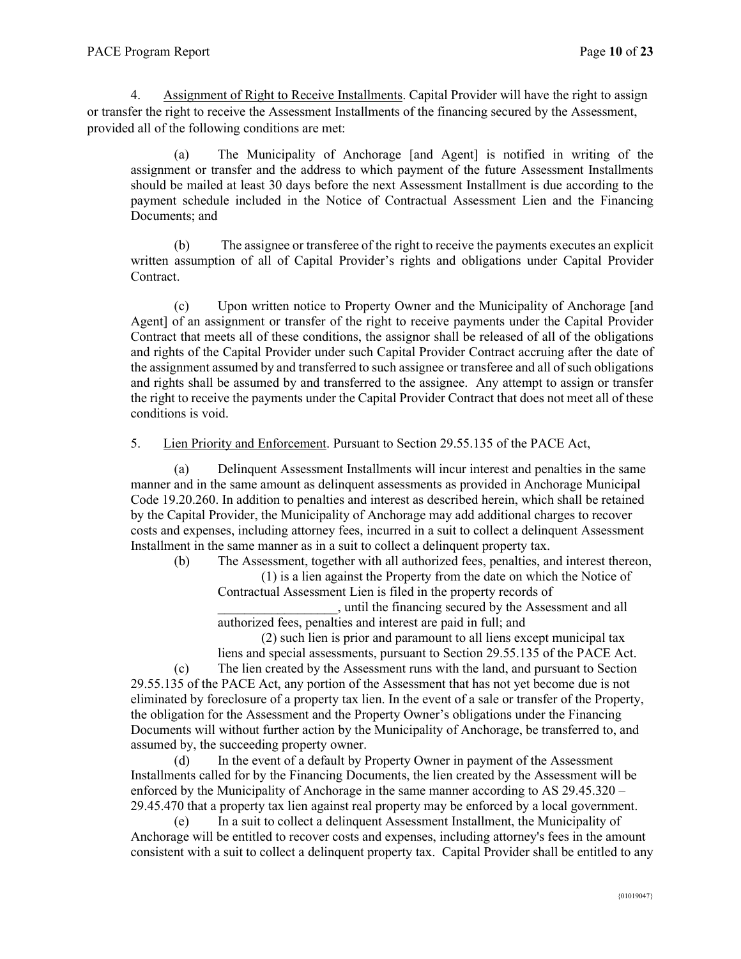4. Assignment of Right to Receive Installments. Capital Provider will have the right to assign or transfer the right to receive the Assessment Installments of the financing secured by the Assessment, provided all of the following conditions are met:

(a) The Municipality of Anchorage [and Agent] is notified in writing of the assignment or transfer and the address to which payment of the future Assessment Installments should be mailed at least 30 days before the next Assessment Installment is due according to the payment schedule included in the Notice of Contractual Assessment Lien and the Financing Documents; and

(b) The assignee or transferee of the right to receive the payments executes an explicit written assumption of all of Capital Provider's rights and obligations under Capital Provider Contract.

(c) Upon written notice to Property Owner and the Municipality of Anchorage [and Agent] of an assignment or transfer of the right to receive payments under the Capital Provider Contract that meets all of these conditions, the assignor shall be released of all of the obligations and rights of the Capital Provider under such Capital Provider Contract accruing after the date of the assignment assumed by and transferred to such assignee or transferee and all of such obligations and rights shall be assumed by and transferred to the assignee. Any attempt to assign or transfer the right to receive the payments under the Capital Provider Contract that does not meet all of these conditions is void.

5. Lien Priority and Enforcement. Pursuant to Section 29.55.135 of the PACE Act,

(a) Delinquent Assessment Installments will incur interest and penalties in the same manner and in the same amount as delinquent assessments as provided in Anchorage Municipal Code 19.20.260. In addition to penalties and interest as described herein, which shall be retained by the Capital Provider, the Municipality of Anchorage may add additional charges to recover costs and expenses, including attorney fees, incurred in a suit to collect a delinquent Assessment Installment in the same manner as in a suit to collect a delinquent property tax.

(b) The Assessment, together with all authorized fees, penalties, and interest thereon, (1) is a lien against the Property from the date on which the Notice of

Contractual Assessment Lien is filed in the property records of

\_\_\_\_\_\_\_\_\_\_\_\_\_\_\_\_\_\_, until the financing secured by the Assessment and all authorized fees, penalties and interest are paid in full; and

(2) such lien is prior and paramount to all liens except municipal tax liens and special assessments, pursuant to Section 29.55.135 of the PACE Act.

(c) The lien created by the Assessment runs with the land, and pursuant to Section 29.55.135 of the PACE Act, any portion of the Assessment that has not yet become due is not eliminated by foreclosure of a property tax lien. In the event of a sale or transfer of the Property, the obligation for the Assessment and the Property Owner's obligations under the Financing Documents will without further action by the Municipality of Anchorage, be transferred to, and assumed by, the succeeding property owner.

(d) In the event of a default by Property Owner in payment of the Assessment Installments called for by the Financing Documents, the lien created by the Assessment will be enforced by the Municipality of Anchorage in the same manner according to AS 29.45.320 – 29.45.470 that a property tax lien against real property may be enforced by a local government.

(e) In a suit to collect a delinquent Assessment Installment, the Municipality of Anchorage will be entitled to recover costs and expenses, including attorney's fees in the amount consistent with a suit to collect a delinquent property tax. Capital Provider shall be entitled to any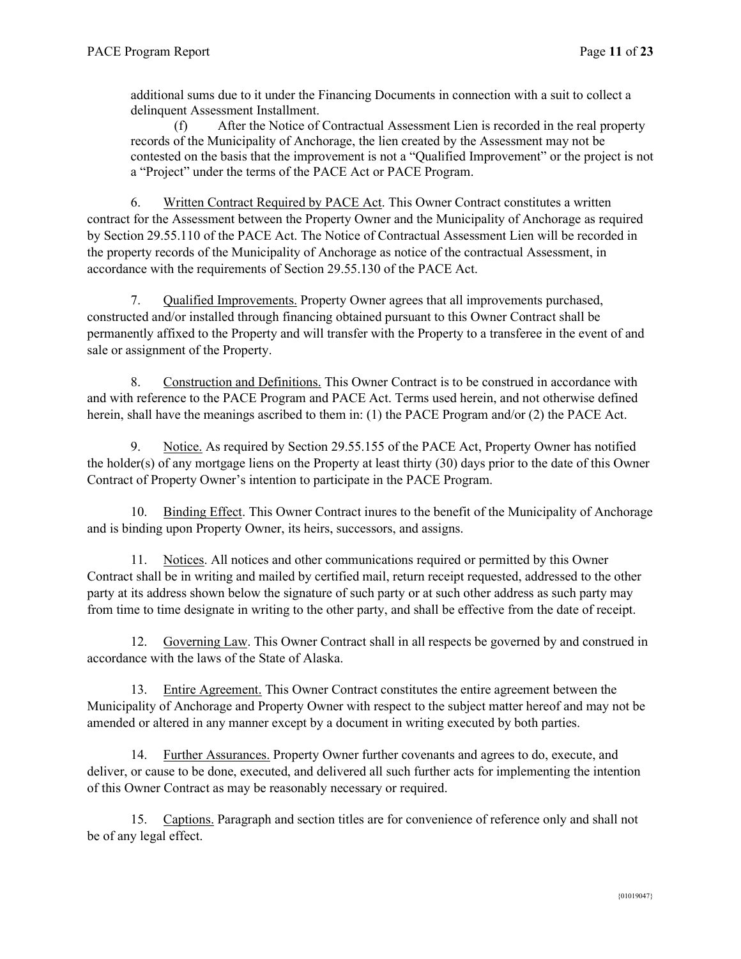additional sums due to it under the Financing Documents in connection with a suit to collect a delinquent Assessment Installment.

(f) After the Notice of Contractual Assessment Lien is recorded in the real property records of the Municipality of Anchorage, the lien created by the Assessment may not be contested on the basis that the improvement is not a "Qualified Improvement" or the project is not a "Project" under the terms of the PACE Act or PACE Program.

6. Written Contract Required by PACE Act. This Owner Contract constitutes a written contract for the Assessment between the Property Owner and the Municipality of Anchorage as required by Section 29.55.110 of the PACE Act. The Notice of Contractual Assessment Lien will be recorded in the property records of the Municipality of Anchorage as notice of the contractual Assessment, in accordance with the requirements of Section 29.55.130 of the PACE Act.

7. Qualified Improvements. Property Owner agrees that all improvements purchased, constructed and/or installed through financing obtained pursuant to this Owner Contract shall be permanently affixed to the Property and will transfer with the Property to a transferee in the event of and sale or assignment of the Property.

8. Construction and Definitions. This Owner Contract is to be construed in accordance with and with reference to the PACE Program and PACE Act. Terms used herein, and not otherwise defined herein, shall have the meanings ascribed to them in: (1) the PACE Program and/or (2) the PACE Act.

9. Notice. As required by Section 29.55.155 of the PACE Act, Property Owner has notified the holder(s) of any mortgage liens on the Property at least thirty (30) days prior to the date of this Owner Contract of Property Owner's intention to participate in the PACE Program.

10. Binding Effect. This Owner Contract inures to the benefit of the Municipality of Anchorage and is binding upon Property Owner, its heirs, successors, and assigns.

11. Notices. All notices and other communications required or permitted by this Owner Contract shall be in writing and mailed by certified mail, return receipt requested, addressed to the other party at its address shown below the signature of such party or at such other address as such party may from time to time designate in writing to the other party, and shall be effective from the date of receipt.

12. Governing Law. This Owner Contract shall in all respects be governed by and construed in accordance with the laws of the State of Alaska.

13. Entire Agreement. This Owner Contract constitutes the entire agreement between the Municipality of Anchorage and Property Owner with respect to the subject matter hereof and may not be amended or altered in any manner except by a document in writing executed by both parties.

14. Further Assurances. Property Owner further covenants and agrees to do, execute, and deliver, or cause to be done, executed, and delivered all such further acts for implementing the intention of this Owner Contract as may be reasonably necessary or required.

15. Captions. Paragraph and section titles are for convenience of reference only and shall not be of any legal effect.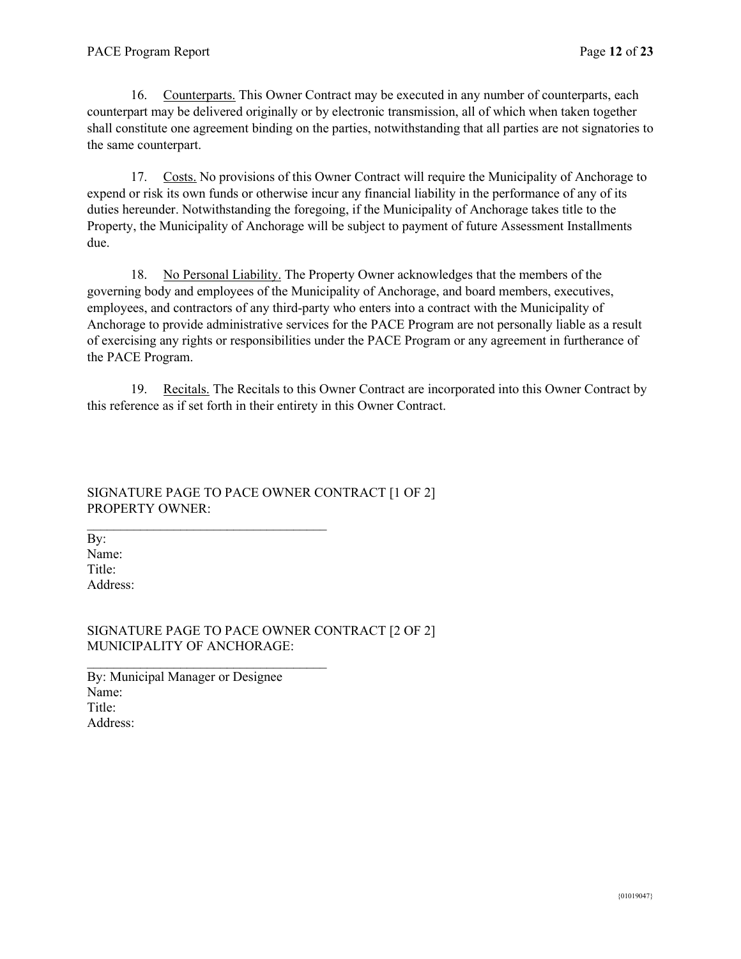16. Counterparts. This Owner Contract may be executed in any number of counterparts, each counterpart may be delivered originally or by electronic transmission, all of which when taken together shall constitute one agreement binding on the parties, notwithstanding that all parties are not signatories to the same counterpart.

17. Costs. No provisions of this Owner Contract will require the Municipality of Anchorage to expend or risk its own funds or otherwise incur any financial liability in the performance of any of its duties hereunder. Notwithstanding the foregoing, if the Municipality of Anchorage takes title to the Property, the Municipality of Anchorage will be subject to payment of future Assessment Installments due.

18. No Personal Liability. The Property Owner acknowledges that the members of the governing body and employees of the Municipality of Anchorage, and board members, executives, employees, and contractors of any third-party who enters into a contract with the Municipality of Anchorage to provide administrative services for the PACE Program are not personally liable as a result of exercising any rights or responsibilities under the PACE Program or any agreement in furtherance of the PACE Program.

19. Recitals. The Recitals to this Owner Contract are incorporated into this Owner Contract by this reference as if set forth in their entirety in this Owner Contract.

#### SIGNATURE PAGE TO PACE OWNER CONTRACT [1 OF 2] PROPERTY OWNER:

By: Name: Title: Address:

#### SIGNATURE PAGE TO PACE OWNER CONTRACT [2 OF 2] MUNICIPALITY OF ANCHORAGE:

By: Municipal Manager or Designee Name: Title: Address:

 $\mathcal{L}_\text{max}$  , and the set of the set of the set of the set of the set of the set of the set of the set of the set of the set of the set of the set of the set of the set of the set of the set of the set of the set of the

\_\_\_\_\_\_\_\_\_\_\_\_\_\_\_\_\_\_\_\_\_\_\_\_\_\_\_\_\_\_\_\_\_\_\_\_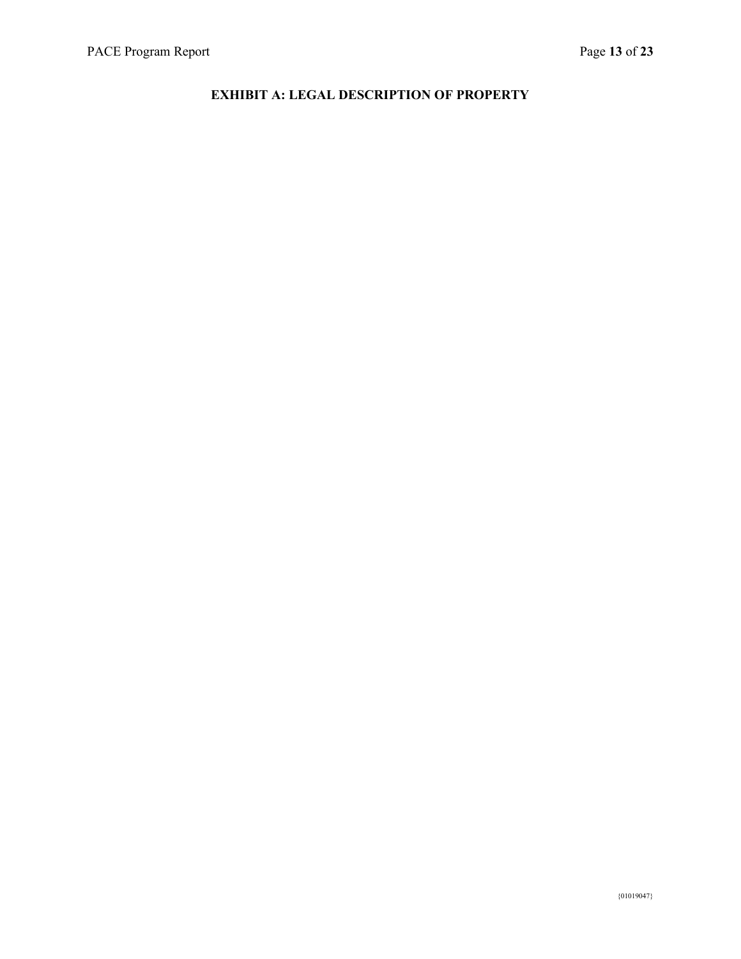# **EXHIBIT A: LEGAL DESCRIPTION OF PROPERTY**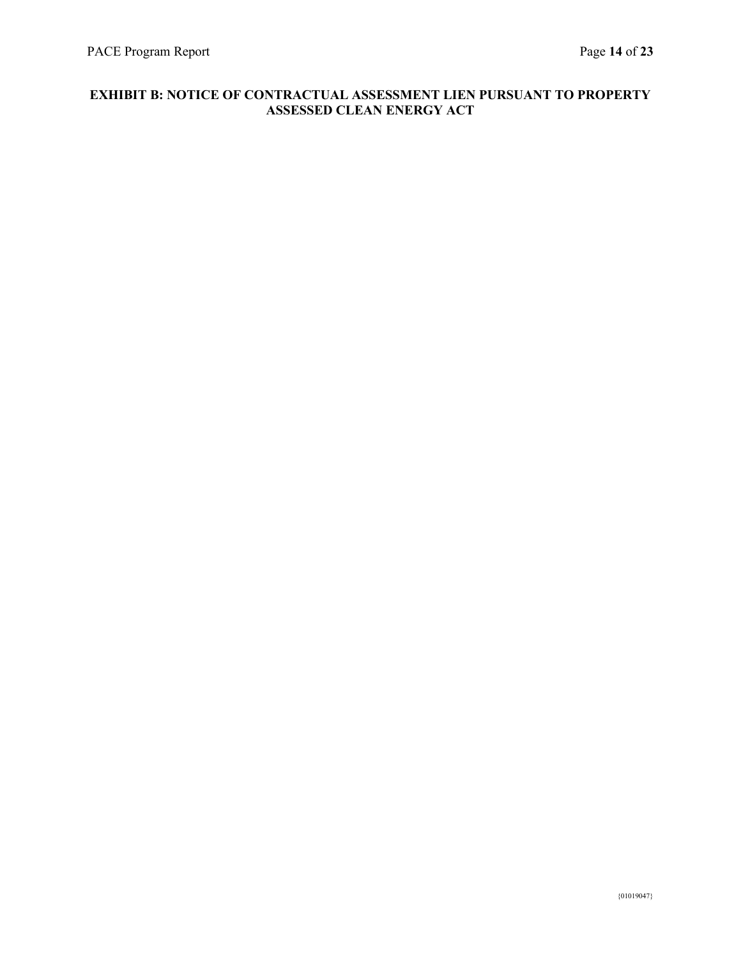#### **EXHIBIT B: NOTICE OF CONTRACTUAL ASSESSMENT LIEN PURSUANT TO PROPERTY ASSESSED CLEAN ENERGY ACT**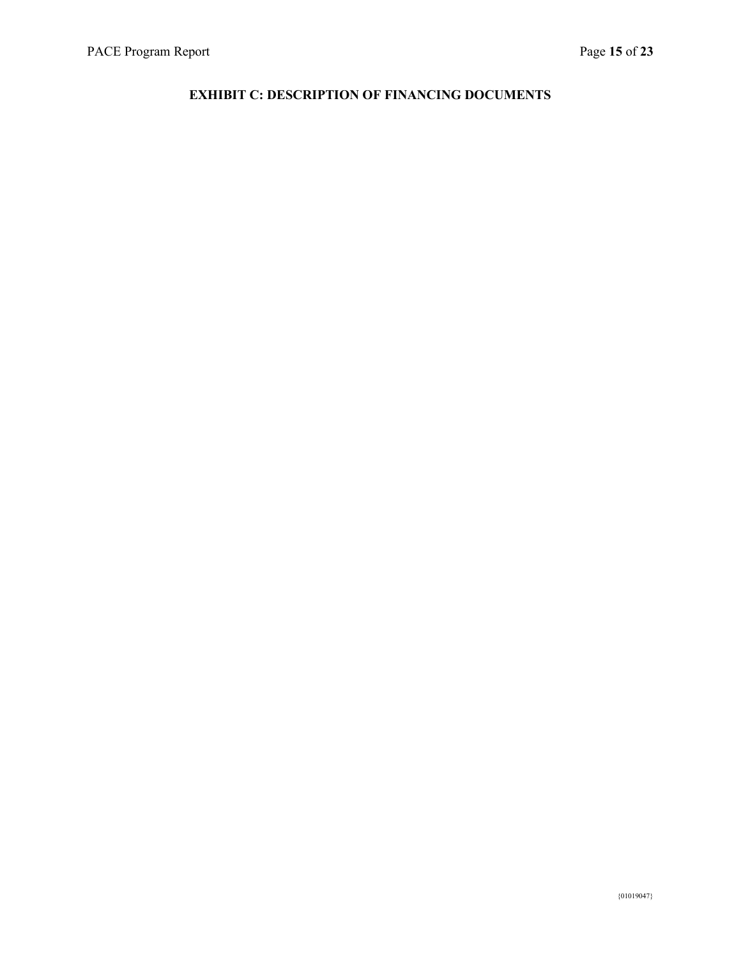### **EXHIBIT C: DESCRIPTION OF FINANCING DOCUMENTS**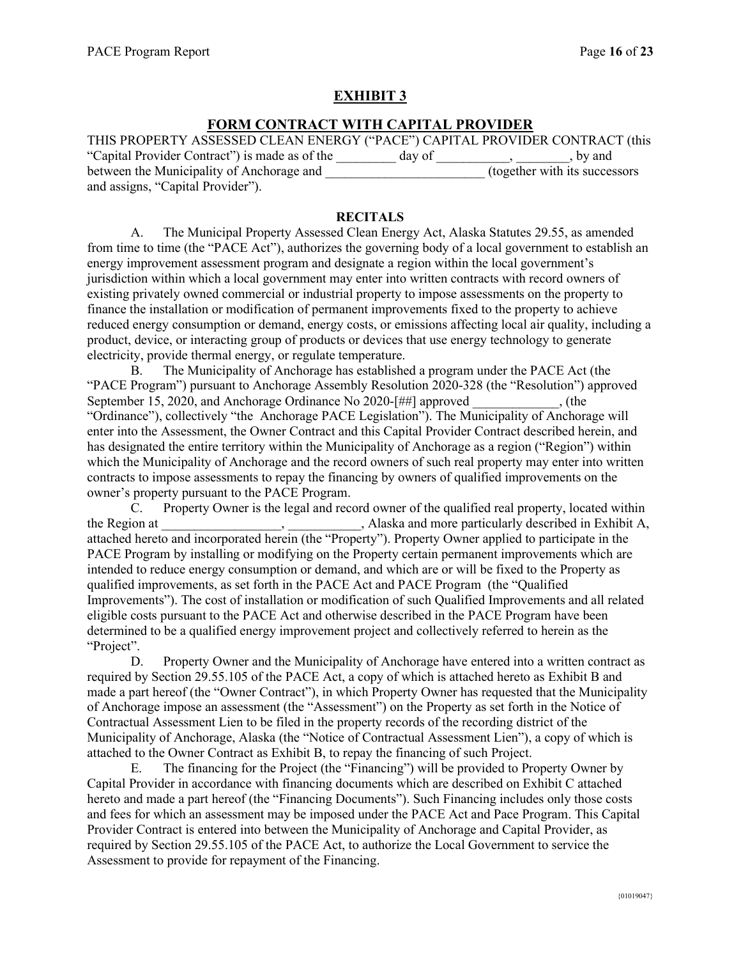#### **EXHIBIT 3**

#### **FORM CONTRACT WITH CAPITAL PROVIDER**

THIS PROPERTY ASSESSED CLEAN ENERGY ("PACE") CAPITAL PROVIDER CONTRACT (this "Capital Provider Contract") is made as of the \_\_\_\_\_\_\_\_\_ day of \_\_\_\_\_\_\_\_\_\_\_, \_\_\_\_\_\_\_\_, by and between the Municipality of Anchorage and  $($ together with its successors and assigns, "Capital Provider").

#### **RECITALS**

A. The Municipal Property Assessed Clean Energy Act, Alaska Statutes 29.55, as amended from time to time (the "PACE Act"), authorizes the governing body of a local government to establish an energy improvement assessment program and designate a region within the local government's jurisdiction within which a local government may enter into written contracts with record owners of existing privately owned commercial or industrial property to impose assessments on the property to finance the installation or modification of permanent improvements fixed to the property to achieve reduced energy consumption or demand, energy costs, or emissions affecting local air quality, including a product, device, or interacting group of products or devices that use energy technology to generate electricity, provide thermal energy, or regulate temperature.

B. The Municipality of Anchorage has established a program under the PACE Act (the "PACE Program") pursuant to Anchorage Assembly Resolution 2020-328 (the "Resolution") approved September 15, 2020, and Anchorage Ordinance No 2020-[##] approved \_\_\_\_\_\_\_\_\_\_\_\_\_, (the "Ordinance"), collectively "the Anchorage PACE Legislation"). The Municipality of Anchorage will enter into the Assessment, the Owner Contract and this Capital Provider Contract described herein, and has designated the entire territory within the Municipality of Anchorage as a region ("Region") within which the Municipality of Anchorage and the record owners of such real property may enter into written contracts to impose assessments to repay the financing by owners of qualified improvements on the owner's property pursuant to the PACE Program.

C. Property Owner is the legal and record owner of the qualified real property, located within the Region at  $\qquad \qquad , \qquad \qquad ,$  Alaska and more particularly described in Exhibit A, attached hereto and incorporated herein (the "Property"). Property Owner applied to participate in the PACE Program by installing or modifying on the Property certain permanent improvements which are intended to reduce energy consumption or demand, and which are or will be fixed to the Property as qualified improvements, as set forth in the PACE Act and PACE Program (the "Qualified Improvements"). The cost of installation or modification of such Qualified Improvements and all related eligible costs pursuant to the PACE Act and otherwise described in the PACE Program have been determined to be a qualified energy improvement project and collectively referred to herein as the "Project".

D. Property Owner and the Municipality of Anchorage have entered into a written contract as required by Section 29.55.105 of the PACE Act, a copy of which is attached hereto as Exhibit B and made a part hereof (the "Owner Contract"), in which Property Owner has requested that the Municipality of Anchorage impose an assessment (the "Assessment") on the Property as set forth in the Notice of Contractual Assessment Lien to be filed in the property records of the recording district of the Municipality of Anchorage, Alaska (the "Notice of Contractual Assessment Lien"), a copy of which is attached to the Owner Contract as Exhibit B, to repay the financing of such Project.

E. The financing for the Project (the "Financing") will be provided to Property Owner by Capital Provider in accordance with financing documents which are described on Exhibit C attached hereto and made a part hereof (the "Financing Documents"). Such Financing includes only those costs and fees for which an assessment may be imposed under the PACE Act and Pace Program. This Capital Provider Contract is entered into between the Municipality of Anchorage and Capital Provider, as required by Section 29.55.105 of the PACE Act, to authorize the Local Government to service the Assessment to provide for repayment of the Financing.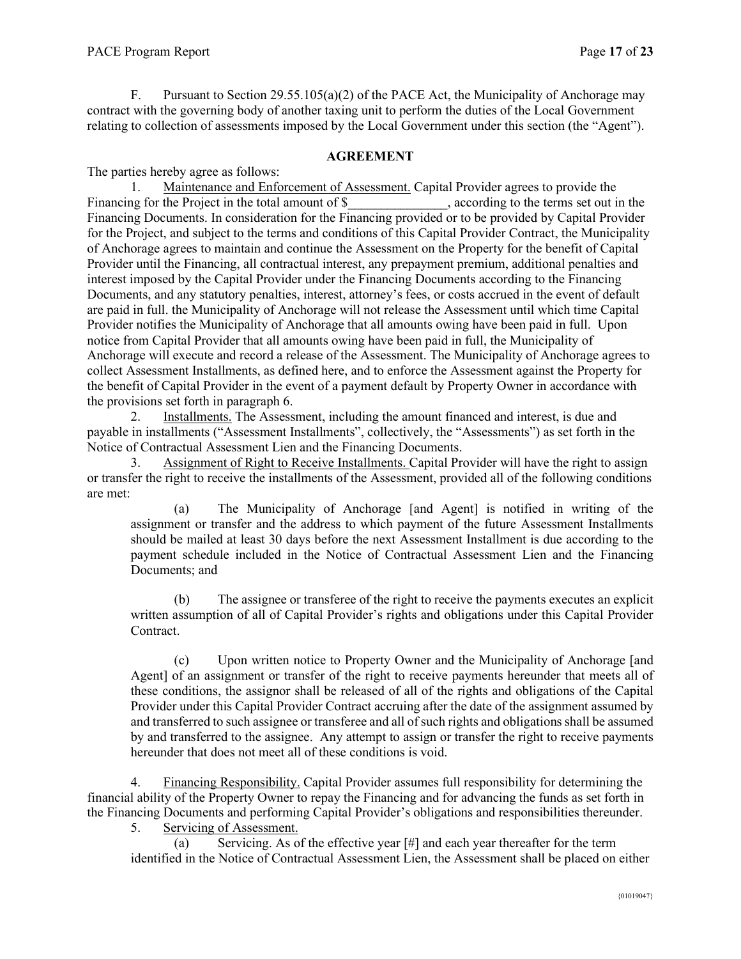F. Pursuant to Section 29.55.105(a)(2) of the PACE Act, the Municipality of Anchorage may contract with the governing body of another taxing unit to perform the duties of the Local Government relating to collection of assessments imposed by the Local Government under this section (the "Agent").

#### **AGREEMENT**

The parties hereby agree as follows:

1. Maintenance and Enforcement of Assessment. Capital Provider agrees to provide the project in the total amount of \$, according to the terms set out in the Financing for the Project in the total amount of \$ Financing Documents. In consideration for the Financing provided or to be provided by Capital Provider for the Project, and subject to the terms and conditions of this Capital Provider Contract, the Municipality of Anchorage agrees to maintain and continue the Assessment on the Property for the benefit of Capital Provider until the Financing, all contractual interest, any prepayment premium, additional penalties and interest imposed by the Capital Provider under the Financing Documents according to the Financing Documents, and any statutory penalties, interest, attorney's fees, or costs accrued in the event of default are paid in full. the Municipality of Anchorage will not release the Assessment until which time Capital Provider notifies the Municipality of Anchorage that all amounts owing have been paid in full. Upon notice from Capital Provider that all amounts owing have been paid in full, the Municipality of Anchorage will execute and record a release of the Assessment. The Municipality of Anchorage agrees to collect Assessment Installments, as defined here, and to enforce the Assessment against the Property for the benefit of Capital Provider in the event of a payment default by Property Owner in accordance with the provisions set forth in paragraph 6.

2. Installments. The Assessment, including the amount financed and interest, is due and payable in installments ("Assessment Installments", collectively, the "Assessments") as set forth in the Notice of Contractual Assessment Lien and the Financing Documents.

3. Assignment of Right to Receive Installments. Capital Provider will have the right to assign or transfer the right to receive the installments of the Assessment, provided all of the following conditions are met:

(a) The Municipality of Anchorage [and Agent] is notified in writing of the assignment or transfer and the address to which payment of the future Assessment Installments should be mailed at least 30 days before the next Assessment Installment is due according to the payment schedule included in the Notice of Contractual Assessment Lien and the Financing Documents; and

(b) The assignee or transferee of the right to receive the payments executes an explicit written assumption of all of Capital Provider's rights and obligations under this Capital Provider Contract.

(c) Upon written notice to Property Owner and the Municipality of Anchorage [and Agent] of an assignment or transfer of the right to receive payments hereunder that meets all of these conditions, the assignor shall be released of all of the rights and obligations of the Capital Provider under this Capital Provider Contract accruing after the date of the assignment assumed by and transferred to such assignee or transferee and all of such rights and obligations shall be assumed by and transferred to the assignee. Any attempt to assign or transfer the right to receive payments hereunder that does not meet all of these conditions is void.

4. Financing Responsibility. Capital Provider assumes full responsibility for determining the financial ability of the Property Owner to repay the Financing and for advancing the funds as set forth in the Financing Documents and performing Capital Provider's obligations and responsibilities thereunder.

5. Servicing of Assessment.

(a) Servicing. As of the effective year [#] and each year thereafter for the term identified in the Notice of Contractual Assessment Lien, the Assessment shall be placed on either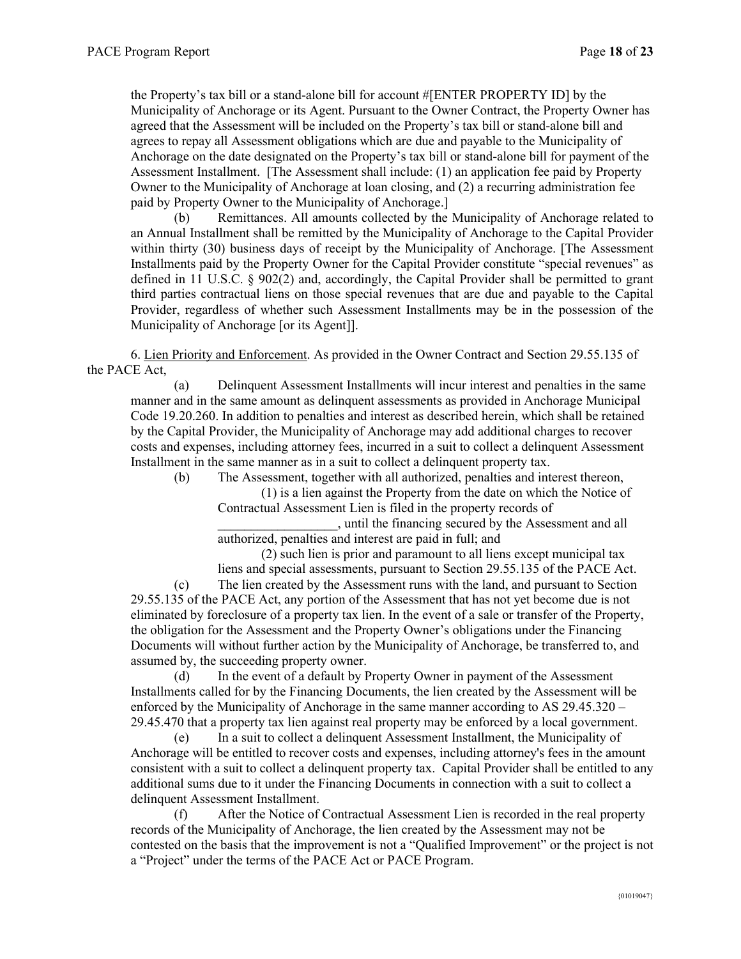the Property's tax bill or a stand-alone bill for account #[ENTER PROPERTY ID] by the Municipality of Anchorage or its Agent. Pursuant to the Owner Contract, the Property Owner has agreed that the Assessment will be included on the Property's tax bill or stand-alone bill and agrees to repay all Assessment obligations which are due and payable to the Municipality of Anchorage on the date designated on the Property's tax bill or stand-alone bill for payment of the Assessment Installment. [The Assessment shall include: (1) an application fee paid by Property Owner to the Municipality of Anchorage at loan closing, and (2) a recurring administration fee paid by Property Owner to the Municipality of Anchorage.]

(b) Remittances. All amounts collected by the Municipality of Anchorage related to an Annual Installment shall be remitted by the Municipality of Anchorage to the Capital Provider within thirty (30) business days of receipt by the Municipality of Anchorage. [The Assessment Installments paid by the Property Owner for the Capital Provider constitute "special revenues" as defined in 11 U.S.C. § 902(2) and, accordingly, the Capital Provider shall be permitted to grant third parties contractual liens on those special revenues that are due and payable to the Capital Provider, regardless of whether such Assessment Installments may be in the possession of the Municipality of Anchorage [or its Agent]].

6. Lien Priority and Enforcement. As provided in the Owner Contract and Section 29.55.135 of the PACE Act,

(a) Delinquent Assessment Installments will incur interest and penalties in the same manner and in the same amount as delinquent assessments as provided in Anchorage Municipal Code 19.20.260. In addition to penalties and interest as described herein, which shall be retained by the Capital Provider, the Municipality of Anchorage may add additional charges to recover costs and expenses, including attorney fees, incurred in a suit to collect a delinquent Assessment Installment in the same manner as in a suit to collect a delinquent property tax.

(b) The Assessment, together with all authorized, penalties and interest thereon, (1) is a lien against the Property from the date on which the Notice of

Contractual Assessment Lien is filed in the property records of

\_\_\_\_\_\_\_\_\_\_\_\_\_\_\_\_\_\_, until the financing secured by the Assessment and all authorized, penalties and interest are paid in full; and

(2) such lien is prior and paramount to all liens except municipal tax liens and special assessments, pursuant to Section 29.55.135 of the PACE Act.

(c) The lien created by the Assessment runs with the land, and pursuant to Section 29.55.135 of the PACE Act, any portion of the Assessment that has not yet become due is not eliminated by foreclosure of a property tax lien. In the event of a sale or transfer of the Property, the obligation for the Assessment and the Property Owner's obligations under the Financing Documents will without further action by the Municipality of Anchorage, be transferred to, and assumed by, the succeeding property owner.

(d) In the event of a default by Property Owner in payment of the Assessment Installments called for by the Financing Documents, the lien created by the Assessment will be enforced by the Municipality of Anchorage in the same manner according to AS 29.45.320 – 29.45.470 that a property tax lien against real property may be enforced by a local government.

(e) In a suit to collect a delinquent Assessment Installment, the Municipality of Anchorage will be entitled to recover costs and expenses, including attorney's fees in the amount consistent with a suit to collect a delinquent property tax. Capital Provider shall be entitled to any additional sums due to it under the Financing Documents in connection with a suit to collect a delinquent Assessment Installment.

(f) After the Notice of Contractual Assessment Lien is recorded in the real property records of the Municipality of Anchorage, the lien created by the Assessment may not be contested on the basis that the improvement is not a "Qualified Improvement" or the project is not a "Project" under the terms of the PACE Act or PACE Program.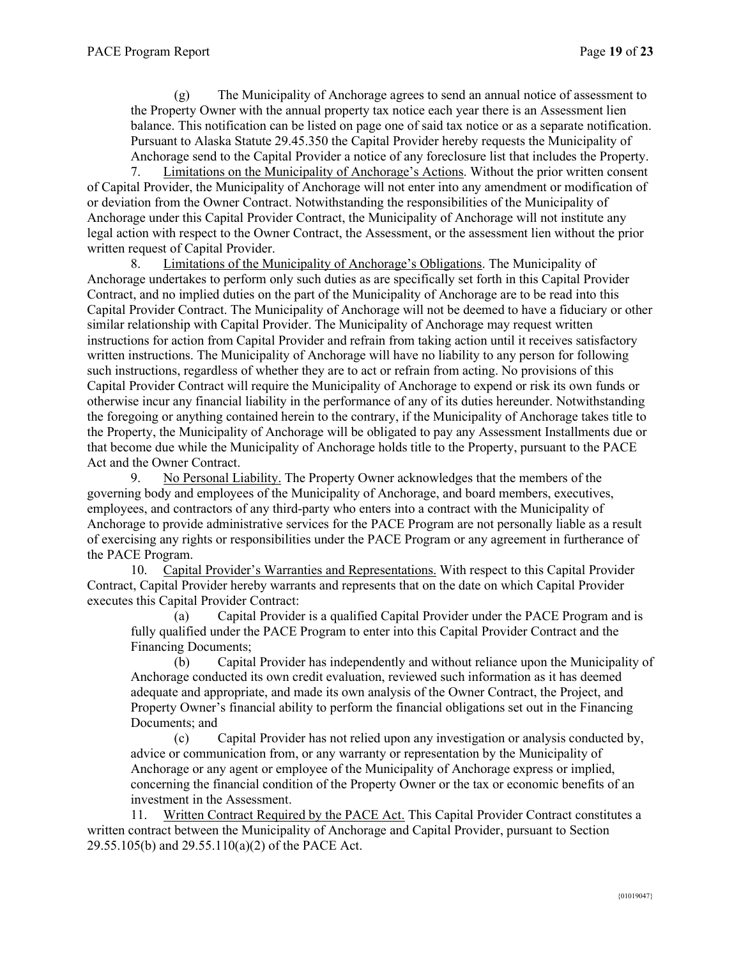(g) The Municipality of Anchorage agrees to send an annual notice of assessment to the Property Owner with the annual property tax notice each year there is an Assessment lien balance. This notification can be listed on page one of said tax notice or as a separate notification. Pursuant to Alaska Statute 29.45.350 the Capital Provider hereby requests the Municipality of Anchorage send to the Capital Provider a notice of any foreclosure list that includes the Property.

7. Limitations on the Municipality of Anchorage's Actions. Without the prior written consent of Capital Provider, the Municipality of Anchorage will not enter into any amendment or modification of or deviation from the Owner Contract. Notwithstanding the responsibilities of the Municipality of Anchorage under this Capital Provider Contract, the Municipality of Anchorage will not institute any legal action with respect to the Owner Contract, the Assessment, or the assessment lien without the prior written request of Capital Provider.

8. Limitations of the Municipality of Anchorage's Obligations. The Municipality of Anchorage undertakes to perform only such duties as are specifically set forth in this Capital Provider Contract, and no implied duties on the part of the Municipality of Anchorage are to be read into this Capital Provider Contract. The Municipality of Anchorage will not be deemed to have a fiduciary or other similar relationship with Capital Provider. The Municipality of Anchorage may request written instructions for action from Capital Provider and refrain from taking action until it receives satisfactory written instructions. The Municipality of Anchorage will have no liability to any person for following such instructions, regardless of whether they are to act or refrain from acting. No provisions of this Capital Provider Contract will require the Municipality of Anchorage to expend or risk its own funds or otherwise incur any financial liability in the performance of any of its duties hereunder. Notwithstanding the foregoing or anything contained herein to the contrary, if the Municipality of Anchorage takes title to the Property, the Municipality of Anchorage will be obligated to pay any Assessment Installments due or that become due while the Municipality of Anchorage holds title to the Property, pursuant to the PACE Act and the Owner Contract.

9. No Personal Liability. The Property Owner acknowledges that the members of the governing body and employees of the Municipality of Anchorage, and board members, executives, employees, and contractors of any third-party who enters into a contract with the Municipality of Anchorage to provide administrative services for the PACE Program are not personally liable as a result of exercising any rights or responsibilities under the PACE Program or any agreement in furtherance of the PACE Program.

10. Capital Provider's Warranties and Representations. With respect to this Capital Provider Contract, Capital Provider hereby warrants and represents that on the date on which Capital Provider executes this Capital Provider Contract:

(a) Capital Provider is a qualified Capital Provider under the PACE Program and is fully qualified under the PACE Program to enter into this Capital Provider Contract and the Financing Documents;

(b) Capital Provider has independently and without reliance upon the Municipality of Anchorage conducted its own credit evaluation, reviewed such information as it has deemed adequate and appropriate, and made its own analysis of the Owner Contract, the Project, and Property Owner's financial ability to perform the financial obligations set out in the Financing Documents; and

(c) Capital Provider has not relied upon any investigation or analysis conducted by, advice or communication from, or any warranty or representation by the Municipality of Anchorage or any agent or employee of the Municipality of Anchorage express or implied, concerning the financial condition of the Property Owner or the tax or economic benefits of an investment in the Assessment.

11. Written Contract Required by the PACE Act. This Capital Provider Contract constitutes a written contract between the Municipality of Anchorage and Capital Provider, pursuant to Section 29.55.105(b) and 29.55.110(a)(2) of the PACE Act.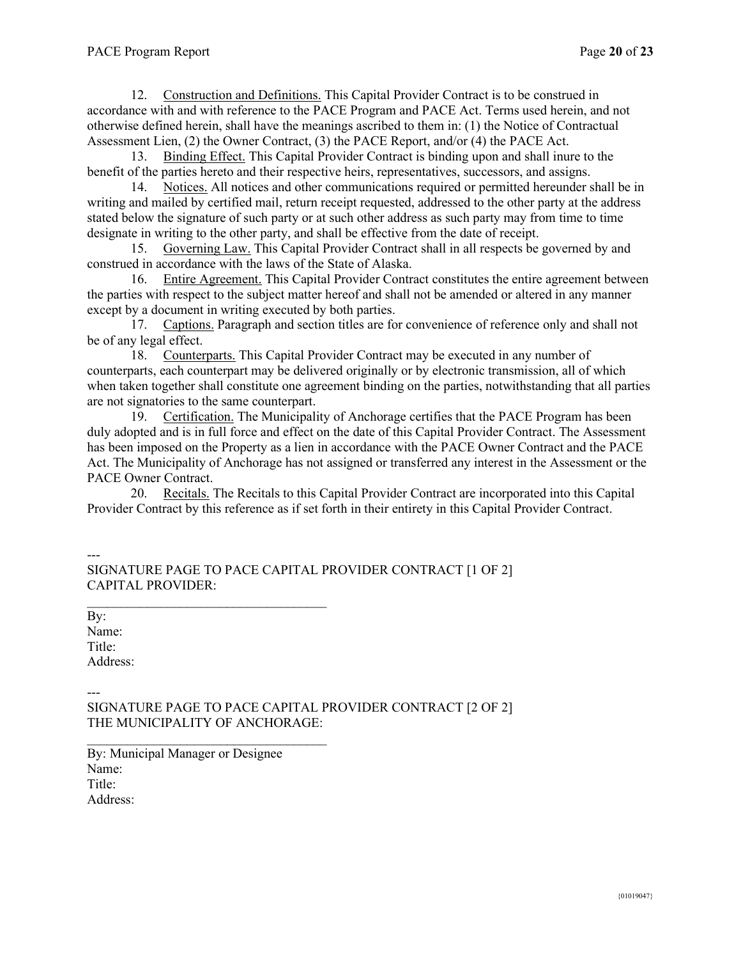12. Construction and Definitions. This Capital Provider Contract is to be construed in accordance with and with reference to the PACE Program and PACE Act. Terms used herein, and not otherwise defined herein, shall have the meanings ascribed to them in: (1) the Notice of Contractual Assessment Lien, (2) the Owner Contract, (3) the PACE Report, and/or (4) the PACE Act.

13. Binding Effect. This Capital Provider Contract is binding upon and shall inure to the benefit of the parties hereto and their respective heirs, representatives, successors, and assigns.

14. Notices. All notices and other communications required or permitted hereunder shall be in writing and mailed by certified mail, return receipt requested, addressed to the other party at the address stated below the signature of such party or at such other address as such party may from time to time designate in writing to the other party, and shall be effective from the date of receipt.

15. Governing Law. This Capital Provider Contract shall in all respects be governed by and construed in accordance with the laws of the State of Alaska.

16. Entire Agreement. This Capital Provider Contract constitutes the entire agreement between the parties with respect to the subject matter hereof and shall not be amended or altered in any manner except by a document in writing executed by both parties.

17. Captions. Paragraph and section titles are for convenience of reference only and shall not be of any legal effect.

18. Counterparts. This Capital Provider Contract may be executed in any number of counterparts, each counterpart may be delivered originally or by electronic transmission, all of which when taken together shall constitute one agreement binding on the parties, notwithstanding that all parties are not signatories to the same counterpart.

19. Certification. The Municipality of Anchorage certifies that the PACE Program has been duly adopted and is in full force and effect on the date of this Capital Provider Contract. The Assessment has been imposed on the Property as a lien in accordance with the PACE Owner Contract and the PACE Act. The Municipality of Anchorage has not assigned or transferred any interest in the Assessment or the PACE Owner Contract.

20. Recitals. The Recitals to this Capital Provider Contract are incorporated into this Capital Provider Contract by this reference as if set forth in their entirety in this Capital Provider Contract.

--- SIGNATURE PAGE TO PACE CAPITAL PROVIDER CONTRACT [1 OF 2] CAPITAL PROVIDER:

By: Name: Title: Address:

--- SIGNATURE PAGE TO PACE CAPITAL PROVIDER CONTRACT [2 OF 2] THE MUNICIPALITY OF ANCHORAGE:

By: Municipal Manager or Designee Name: Title: Address:

 $\mathcal{L}_\text{max}$  , and the set of the set of the set of the set of the set of the set of the set of the set of the set of the set of the set of the set of the set of the set of the set of the set of the set of the set of the

 $\mathcal{L}_\text{max}$  , and the set of the set of the set of the set of the set of the set of the set of the set of the set of the set of the set of the set of the set of the set of the set of the set of the set of the set of the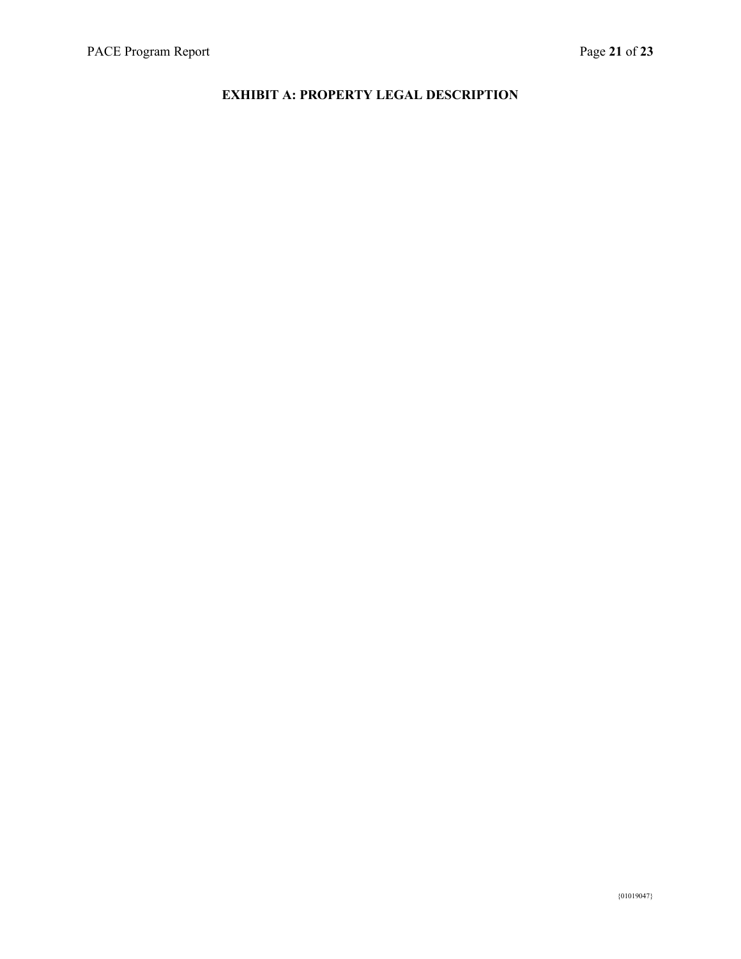#### **EXHIBIT A: PROPERTY LEGAL DESCRIPTION**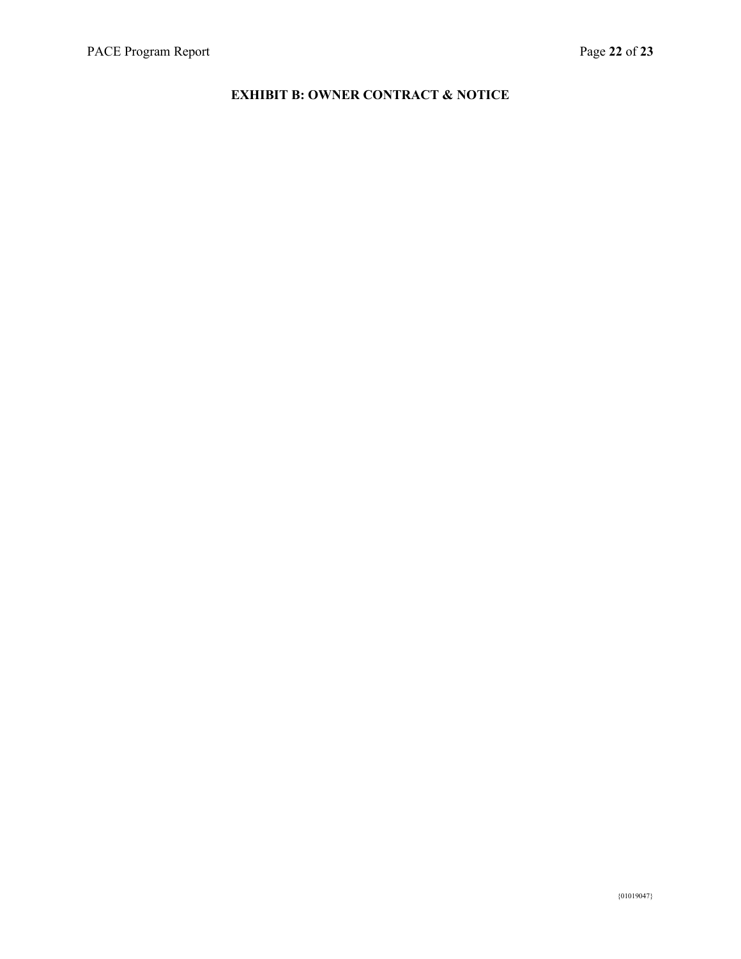#### **EXHIBIT B: OWNER CONTRACT & NOTICE**